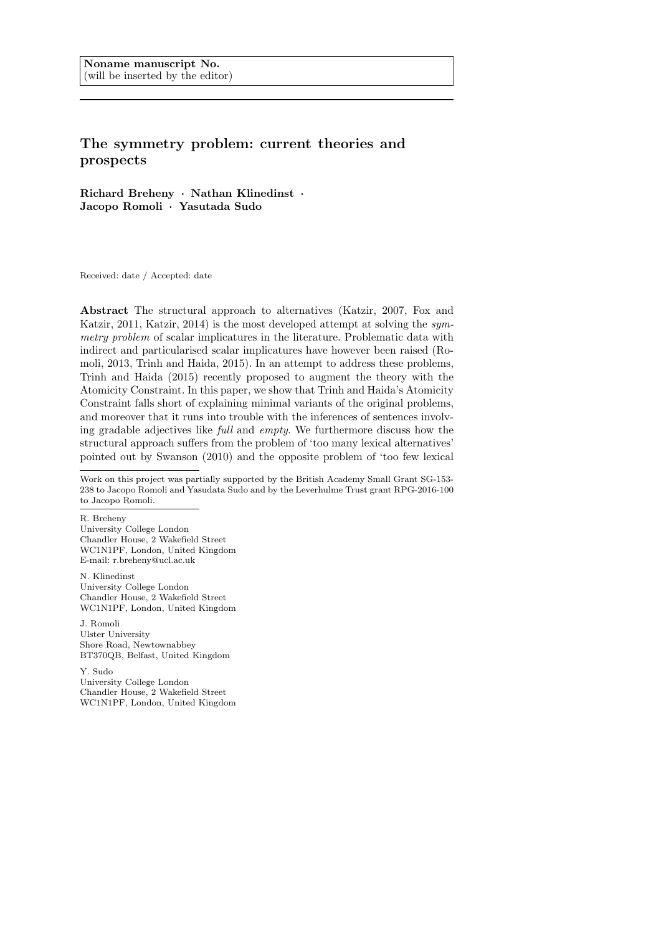# The symmetry problem: current theories and prospects

Richard Breheny · Nathan Klinedinst · Jacopo Romoli · Yasutada Sudo

Received: date / Accepted: date

Abstract The structural approach to alternatives (Katzir, 2007, Fox and Katzir, 2011, Katzir, 2014) is the most developed attempt at solving the symmetry problem of scalar implicatures in the literature. Problematic data with indirect and particularised scalar implicatures have however been raised (Romoli, 2013, Trinh and Haida, 2015). In an attempt to address these problems, Trinh and Haida (2015) recently proposed to augment the theory with the Atomicity Constraint. In this paper, we show that Trinh and Haida's Atomicity Constraint falls short of explaining minimal variants of the original problems, and moreover that it runs into trouble with the inferences of sentences involving gradable adjectives like full and empty. We furthermore discuss how the structural approach suffers from the problem of 'too many lexical alternatives' pointed out by Swanson (2010) and the opposite problem of 'too few lexical

R. Breheny University College London Chandler House, 2 Wakefield Street WC1N1PF, London, United Kingdom E-mail: r.breheny@ucl.ac.uk

N. Klinedinst University College London Chandler House, 2 Wakefield Street WC1N1PF, London, United Kingdom

J. Romoli Ulster University Shore Road, Newtownabbey BT370QB, Belfast, United Kingdom

Y. Sudo University College London Chandler House, 2 Wakefield Street WC1N1PF, London, United Kingdom

Work on this project was partially supported by the British Academy Small Grant SG-153- 238 to Jacopo Romoli and Yasudata Sudo and by the Leverhulme Trust grant RPG-2016-100 to Jacopo Romoli.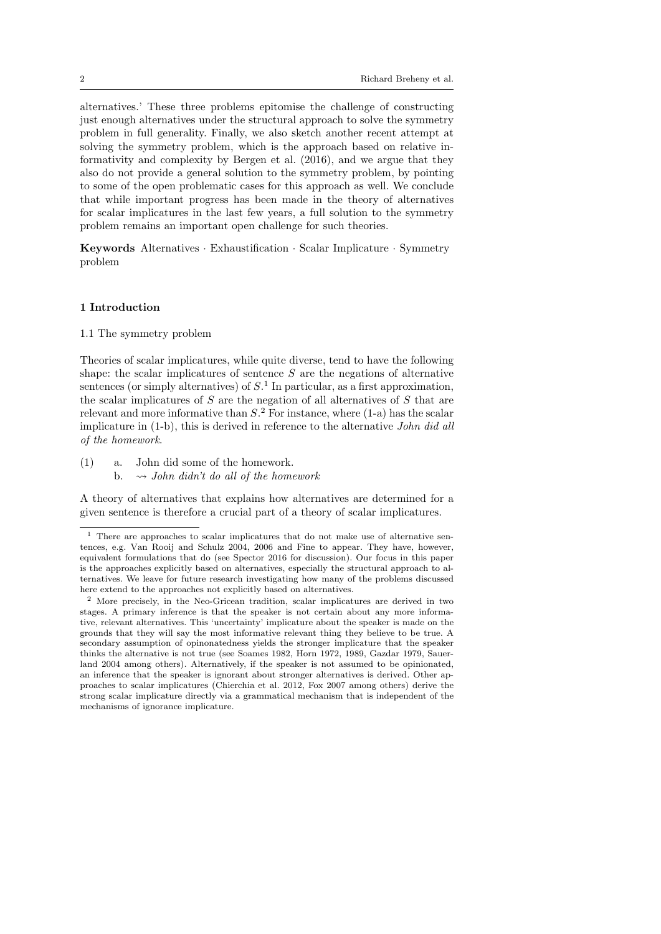alternatives.' These three problems epitomise the challenge of constructing just enough alternatives under the structural approach to solve the symmetry problem in full generality. Finally, we also sketch another recent attempt at solving the symmetry problem, which is the approach based on relative informativity and complexity by Bergen et al. (2016), and we argue that they also do not provide a general solution to the symmetry problem, by pointing to some of the open problematic cases for this approach as well. We conclude that while important progress has been made in the theory of alternatives for scalar implicatures in the last few years, a full solution to the symmetry problem remains an important open challenge for such theories.

Keywords Alternatives · Exhaustification · Scalar Implicature · Symmetry problem

## 1 Introduction

#### 1.1 The symmetry problem

Theories of scalar implicatures, while quite diverse, tend to have the following shape: the scalar implicatures of sentence  $S$  are the negations of alternative sentences (or simply alternatives) of  $S<sup>1</sup>$  In particular, as a first approximation, the scalar implicatures of  $S$  are the negation of all alternatives of  $S$  that are relevant and more informative than  $S<sup>2</sup>$  For instance, where (1-a) has the scalar implicature in (1-b), this is derived in reference to the alternative John did all of the homework.

- (1) a. John did some of the homework.
	- b.  $\rightarrow$  John didn't do all of the homework

A theory of alternatives that explains how alternatives are determined for a given sentence is therefore a crucial part of a theory of scalar implicatures.

<sup>1</sup> There are approaches to scalar implicatures that do not make use of alternative sentences, e.g. Van Rooij and Schulz 2004, 2006 and Fine to appear. They have, however, equivalent formulations that do (see Spector 2016 for discussion). Our focus in this paper is the approaches explicitly based on alternatives, especially the structural approach to alternatives. We leave for future research investigating how many of the problems discussed here extend to the approaches not explicitly based on alternatives.

<sup>2</sup> More precisely, in the Neo-Gricean tradition, scalar implicatures are derived in two stages. A primary inference is that the speaker is not certain about any more informative, relevant alternatives. This 'uncertainty' implicature about the speaker is made on the grounds that they will say the most informative relevant thing they believe to be true. A secondary assumption of opinonatedness yields the stronger implicature that the speaker thinks the alternative is not true (see Soames 1982, Horn 1972, 1989, Gazdar 1979, Sauerland 2004 among others). Alternatively, if the speaker is not assumed to be opinionated, an inference that the speaker is ignorant about stronger alternatives is derived. Other approaches to scalar implicatures (Chierchia et al. 2012, Fox 2007 among others) derive the strong scalar implicature directly via a grammatical mechanism that is independent of the mechanisms of ignorance implicature.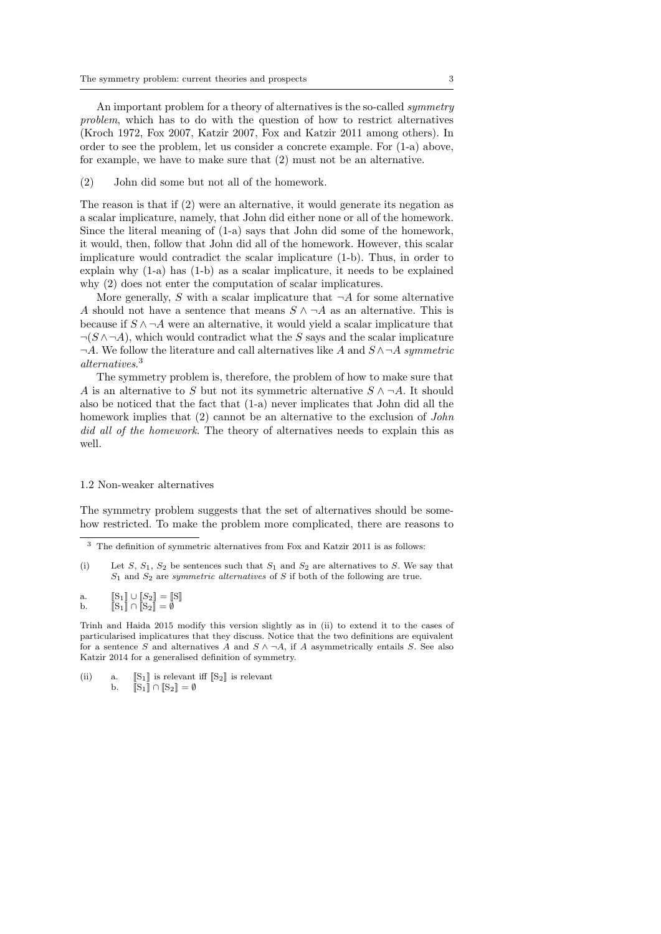An important problem for a theory of alternatives is the so-called *symmetry* problem, which has to do with the question of how to restrict alternatives (Kroch 1972, Fox 2007, Katzir 2007, Fox and Katzir 2011 among others). In order to see the problem, let us consider a concrete example. For (1-a) above, for example, we have to make sure that (2) must not be an alternative.

(2) John did some but not all of the homework.

The reason is that if (2) were an alternative, it would generate its negation as a scalar implicature, namely, that John did either none or all of the homework. Since the literal meaning of (1-a) says that John did some of the homework, it would, then, follow that John did all of the homework. However, this scalar implicature would contradict the scalar implicature (1-b). Thus, in order to explain why (1-a) has (1-b) as a scalar implicature, it needs to be explained why (2) does not enter the computation of scalar implicatures.

More generally, S with a scalar implicature that  $\neg A$  for some alternative A should not have a sentence that means  $S \wedge \neg A$  as an alternative. This is because if  $S \wedge \neg A$  were an alternative, it would yield a scalar implicature that  $\neg(S \land \neg A)$ , which would contradict what the S says and the scalar implicature  $\neg A$ . We follow the literature and call alternatives like A and  $S \land \neg A$  symmetric alternatives. 3

The symmetry problem is, therefore, the problem of how to make sure that A is an alternative to S but not its symmetric alternative  $S \wedge \neg A$ . It should also be noticed that the fact that (1-a) never implicates that John did all the homework implies that (2) cannot be an alternative to the exclusion of *John* did all of the homework. The theory of alternatives needs to explain this as well.

#### 1.2 Non-weaker alternatives

The symmetry problem suggests that the set of alternatives should be somehow restricted. To make the problem more complicated, there are reasons to

Trinh and Haida 2015 modify this version slightly as in (ii) to extend it to the cases of particularised implicatures that they discuss. Notice that the two definitions are equivalent for a sentence S and alternatives A and  $S \wedge \neg A$ , if A asymmetrically entails S. See also Katzir 2014 for a generalised definition of symmetry.

(ii) a.  $[[S_1]]$  is relevant iff  $[[S_2]]$  is relevant b.  $[[S_1]] \cap [[S_2]] = \emptyset$  $\overline{\begin{bmatrix}S_1\end{bmatrix}} \cap \overline{\begin{bmatrix}S_2\end{bmatrix}} = \emptyset$ 

 $^3\,$  The definition of symmetric alternatives from Fox and Katzir 2011 is as follows:

<sup>(</sup>i) Let S,  $S_1$ ,  $S_2$  be sentences such that  $S_1$  and  $S_2$  are alternatives to S. We say that  $S_1$  and  $S_2$  are *symmetric alternatives* of S if both of the following are true.

a.  $[\S_1] \cup [S_2] = [\S]$ b.  $\|\mathbf{S}_1\| \cap \|\mathbf{S}_2\| = \emptyset$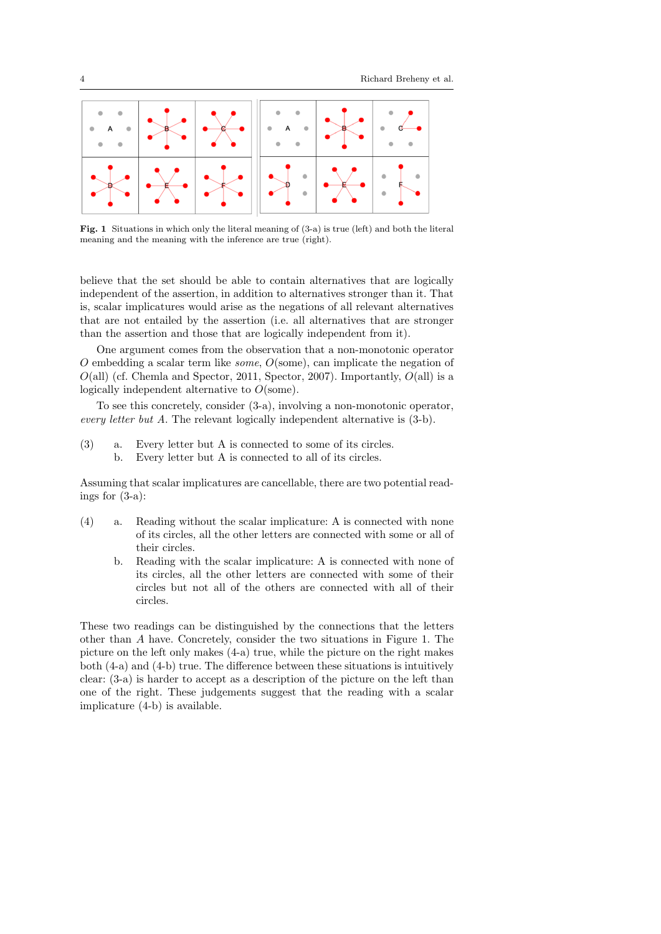

Fig. 1 Situations in which only the literal meaning of (3-a) is true (left) and both the literal meaning and the meaning with the inference are true (right).

believe that the set should be able to contain alternatives that are logically independent of the assertion, in addition to alternatives stronger than it. That is, scalar implicatures would arise as the negations of all relevant alternatives that are not entailed by the assertion (i.e. all alternatives that are stronger than the assertion and those that are logically independent from it).

One argument comes from the observation that a non-monotonic operator  $O$  embedding a scalar term like *some*,  $O(\text{some})$ , can implicate the negation of  $O($ all) (cf. Chemla and Spector, 2011, Spector, 2007). Importantly,  $O($ all) is a logically independent alternative to O(some).

To see this concretely, consider (3-a), involving a non-monotonic operator, every letter but A. The relevant logically independent alternative is (3-b).

(3) a. Every letter but A is connected to some of its circles. b. Every letter but A is connected to all of its circles.

Assuming that scalar implicatures are cancellable, there are two potential readings for (3-a):

- (4) a. Reading without the scalar implicature: A is connected with none of its circles, all the other letters are connected with some or all of their circles.
	- b. Reading with the scalar implicature: A is connected with none of its circles, all the other letters are connected with some of their circles but not all of the others are connected with all of their circles.

These two readings can be distinguished by the connections that the letters other than A have. Concretely, consider the two situations in Figure 1. The picture on the left only makes (4-a) true, while the picture on the right makes both  $(4-a)$  and  $(4-b)$  true. The difference between these situations is intuitively clear: (3-a) is harder to accept as a description of the picture on the left than one of the right. These judgements suggest that the reading with a scalar implicature (4-b) is available.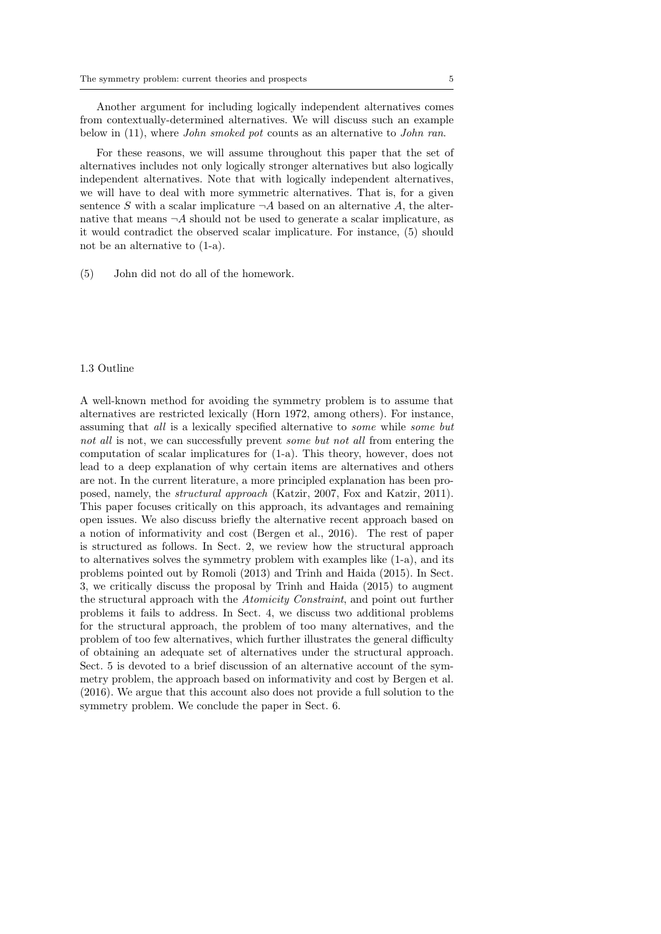Another argument for including logically independent alternatives comes from contextually-determined alternatives. We will discuss such an example below in (11), where *John smoked pot* counts as an alternative to *John ran*.

For these reasons, we will assume throughout this paper that the set of alternatives includes not only logically stronger alternatives but also logically independent alternatives. Note that with logically independent alternatives, we will have to deal with more symmetric alternatives. That is, for a given sentence S with a scalar implicature  $\neg A$  based on an alternative A, the alternative that means  $\neg A$  should not be used to generate a scalar implicature, as it would contradict the observed scalar implicature. For instance, (5) should not be an alternative to (1-a).

(5) John did not do all of the homework.

## 1.3 Outline

A well-known method for avoiding the symmetry problem is to assume that alternatives are restricted lexically (Horn 1972, among others). For instance, assuming that all is a lexically specified alternative to some while some but not all is not, we can successfully prevent *some but not all* from entering the computation of scalar implicatures for (1-a). This theory, however, does not lead to a deep explanation of why certain items are alternatives and others are not. In the current literature, a more principled explanation has been proposed, namely, the structural approach (Katzir, 2007, Fox and Katzir, 2011). This paper focuses critically on this approach, its advantages and remaining open issues. We also discuss briefly the alternative recent approach based on a notion of informativity and cost (Bergen et al., 2016). The rest of paper is structured as follows. In Sect. 2, we review how the structural approach to alternatives solves the symmetry problem with examples like (1-a), and its problems pointed out by Romoli (2013) and Trinh and Haida (2015). In Sect. 3, we critically discuss the proposal by Trinh and Haida (2015) to augment the structural approach with the Atomicity Constraint, and point out further problems it fails to address. In Sect. 4, we discuss two additional problems for the structural approach, the problem of too many alternatives, and the problem of too few alternatives, which further illustrates the general difficulty of obtaining an adequate set of alternatives under the structural approach. Sect. 5 is devoted to a brief discussion of an alternative account of the symmetry problem, the approach based on informativity and cost by Bergen et al. (2016). We argue that this account also does not provide a full solution to the symmetry problem. We conclude the paper in Sect. 6.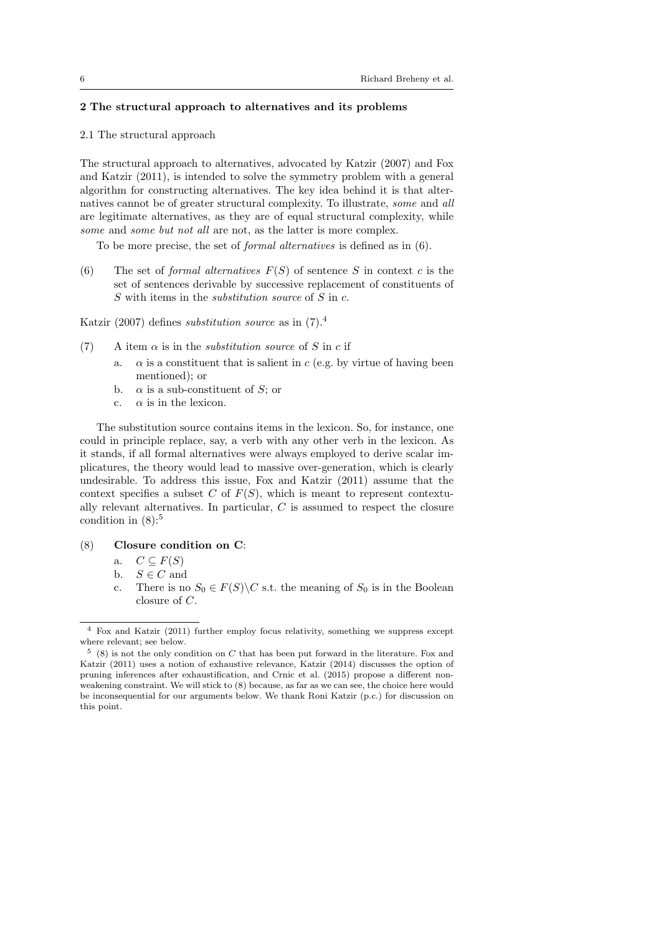# 2 The structural approach to alternatives and its problems

#### 2.1 The structural approach

The structural approach to alternatives, advocated by Katzir (2007) and Fox and Katzir (2011), is intended to solve the symmetry problem with a general algorithm for constructing alternatives. The key idea behind it is that alternatives cannot be of greater structural complexity. To illustrate, some and all are legitimate alternatives, as they are of equal structural complexity, while some and some but not all are not, as the latter is more complex.

To be more precise, the set of formal alternatives is defined as in (6).

(6) The set of *formal alternatives*  $F(S)$  of sentence S in context c is the set of sentences derivable by successive replacement of constituents of S with items in the *substitution source* of S in c.

Katzir (2007) defines substitution source as in (7).<sup>4</sup>

- (7) A item  $\alpha$  is in the *substitution source* of S in c if
	- a.  $\alpha$  is a constituent that is salient in c (e.g. by virtue of having been mentioned); or
	- b.  $\alpha$  is a sub-constituent of S; or
	- c.  $\alpha$  is in the lexicon.

The substitution source contains items in the lexicon. So, for instance, one could in principle replace, say, a verb with any other verb in the lexicon. As it stands, if all formal alternatives were always employed to derive scalar implicatures, the theory would lead to massive over-generation, which is clearly undesirable. To address this issue, Fox and Katzir (2011) assume that the context specifies a subset C of  $F(S)$ , which is meant to represent contextually relevant alternatives. In particular, C is assumed to respect the closure condition in  $(8)$ :<sup>5</sup>

- (8) Closure condition on C:
	- a.  $C \subseteq F(S)$
	- b.  $S \in C$  and
	- c. There is no  $S_0 \in F(S) \backslash C$  s.t. the meaning of  $S_0$  is in the Boolean closure of C.

<sup>4</sup> Fox and Katzir (2011) further employ focus relativity, something we suppress except where relevant; see below.

 $5(8)$  is not the only condition on C that has been put forward in the literature. Fox and Katzir (2011) uses a notion of exhaustive relevance, Katzir (2014) discusses the option of pruning inferences after exhaustification, and Crnic et al. (2015) propose a different nonweakening constraint. We will stick to (8) because, as far as we can see, the choice here would be inconsequential for our arguments below. We thank Roni Katzir (p.c.) for discussion on this point.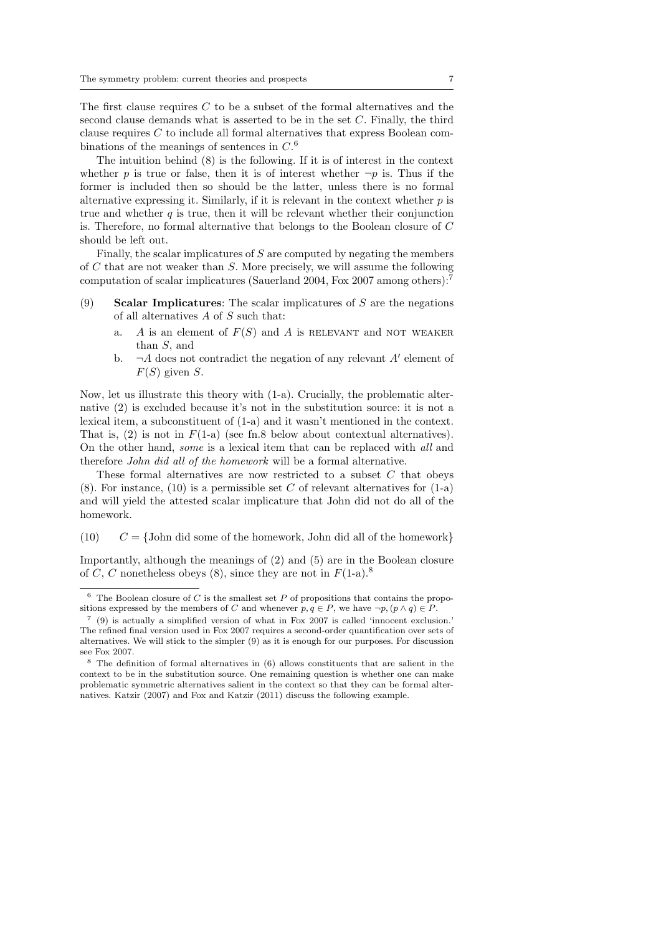The first clause requires C to be a subset of the formal alternatives and the second clause demands what is asserted to be in the set C. Finally, the third clause requires C to include all formal alternatives that express Boolean combinations of the meanings of sentences in  $C<sup>6</sup>$ 

The intuition behind (8) is the following. If it is of interest in the context whether p is true or false, then it is of interest whether  $\neg p$  is. Thus if the former is included then so should be the latter, unless there is no formal alternative expressing it. Similarly, if it is relevant in the context whether  $p$  is true and whether  $q$  is true, then it will be relevant whether their conjunction is. Therefore, no formal alternative that belongs to the Boolean closure of C should be left out.

Finally, the scalar implicatures of  $S$  are computed by negating the members of C that are not weaker than S. More precisely, we will assume the following computation of scalar implicatures (Sauerland 2004, Fox 2007 among others):<sup>7</sup>

- (9) Scalar Implicatures: The scalar implicatures of  $S$  are the negations of all alternatives A of S such that:
	- A is an element of  $F(S)$  and A is RELEVANT and NOT WEAKER than S, and
	- b.  $\neg A$  does not contradict the negation of any relevant A' element of  $F(S)$  given S.

Now, let us illustrate this theory with (1-a). Crucially, the problematic alternative (2) is excluded because it's not in the substitution source: it is not a lexical item, a subconstituent of (1-a) and it wasn't mentioned in the context. That is,  $(2)$  is not in  $F(1-a)$  (see fn.8 below about contextual alternatives). On the other hand, some is a lexical item that can be replaced with all and therefore John did all of the homework will be a formal alternative.

These formal alternatives are now restricted to a subset  $C$  that obeys  $(8)$ . For instance,  $(10)$  is a permissible set C of relevant alternatives for  $(1-a)$ and will yield the attested scalar implicature that John did not do all of the homework.

(10)  $C = \{\text{John did some of the homework}, \text{John did all of the homework}\}\$ 

Importantly, although the meanings of (2) and (5) are in the Boolean closure of C, C nonetheless obeys (8), since they are not in  $F(1-a)$ .<sup>8</sup>

 $6$  The Boolean closure of C is the smallest set P of propositions that contains the propositions expressed by the members of C and whenever  $p, q \in P$ , we have  $\neg p, (p \land q) \in P$ .

<sup>7</sup> (9) is actually a simplified version of what in Fox 2007 is called 'innocent exclusion.' The refined final version used in Fox 2007 requires a second-order quantification over sets of alternatives. We will stick to the simpler (9) as it is enough for our purposes. For discussion see Fox 2007.

<sup>8</sup> The definition of formal alternatives in (6) allows constituents that are salient in the context to be in the substitution source. One remaining question is whether one can make problematic symmetric alternatives salient in the context so that they can be formal alternatives. Katzir (2007) and Fox and Katzir (2011) discuss the following example.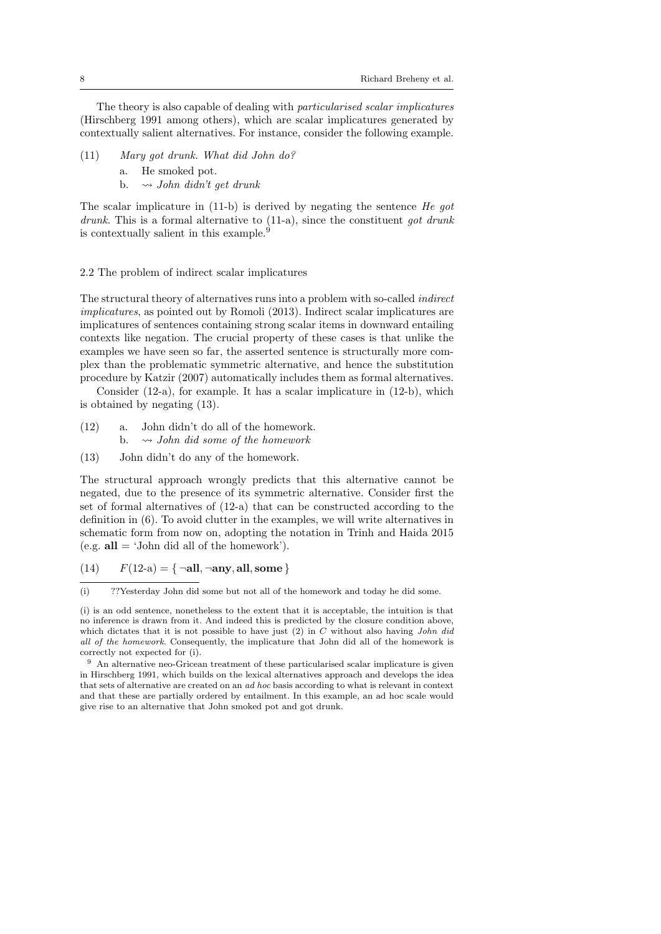The theory is also capable of dealing with particularised scalar implicatures (Hirschberg 1991 among others), which are scalar implicatures generated by contextually salient alternatives. For instance, consider the following example.

- (11) Mary got drunk. What did John do?
	- a. He smoked pot.
	- b.  $\rightsquigarrow$  John didn't get drunk

The scalar implicature in  $(11-b)$  is derived by negating the sentence He got drunk. This is a formal alternative to  $(11-a)$ , since the constituent got drunk is contextually salient in this example.<sup>9</sup>

#### 2.2 The problem of indirect scalar implicatures

The structural theory of alternatives runs into a problem with so-called indirect implicatures, as pointed out by Romoli (2013). Indirect scalar implicatures are implicatures of sentences containing strong scalar items in downward entailing contexts like negation. The crucial property of these cases is that unlike the examples we have seen so far, the asserted sentence is structurally more complex than the problematic symmetric alternative, and hence the substitution procedure by Katzir (2007) automatically includes them as formal alternatives.

Consider  $(12-a)$ , for example. It has a scalar implicature in  $(12-b)$ , which is obtained by negating (13).

- (12) a. John didn't do all of the homework. b.  $\rightarrow$  John did some of the homework
- (13) John didn't do any of the homework.

The structural approach wrongly predicts that this alternative cannot be negated, due to the presence of its symmetric alternative. Consider first the set of formal alternatives of (12-a) that can be constructed according to the definition in (6). To avoid clutter in the examples, we will write alternatives in schematic form from now on, adopting the notation in Trinh and Haida 2015 (e.g.  $all = 'John did all of the homework'.$ ).

(14)  $F(12-a) = {\neg \textbf{all}, \neg \textbf{any}, \textbf{all}, \textbf{some}}$ 

<sup>(</sup>i) ??Yesterday John did some but not all of the homework and today he did some.

<sup>(</sup>i) is an odd sentence, nonetheless to the extent that it is acceptable, the intuition is that no inference is drawn from it. And indeed this is predicted by the closure condition above, which dictates that it is not possible to have just  $(2)$  in C without also having *John did* all of the homework. Consequently, the implicature that John did all of the homework is correctly not expected for (i).

<sup>9</sup> An alternative neo-Gricean treatment of these particularised scalar implicature is given in Hirschberg 1991, which builds on the lexical alternatives approach and develops the idea that sets of alternative are created on an ad hoc basis according to what is relevant in context and that these are partially ordered by entailment. In this example, an ad hoc scale would give rise to an alternative that John smoked pot and got drunk.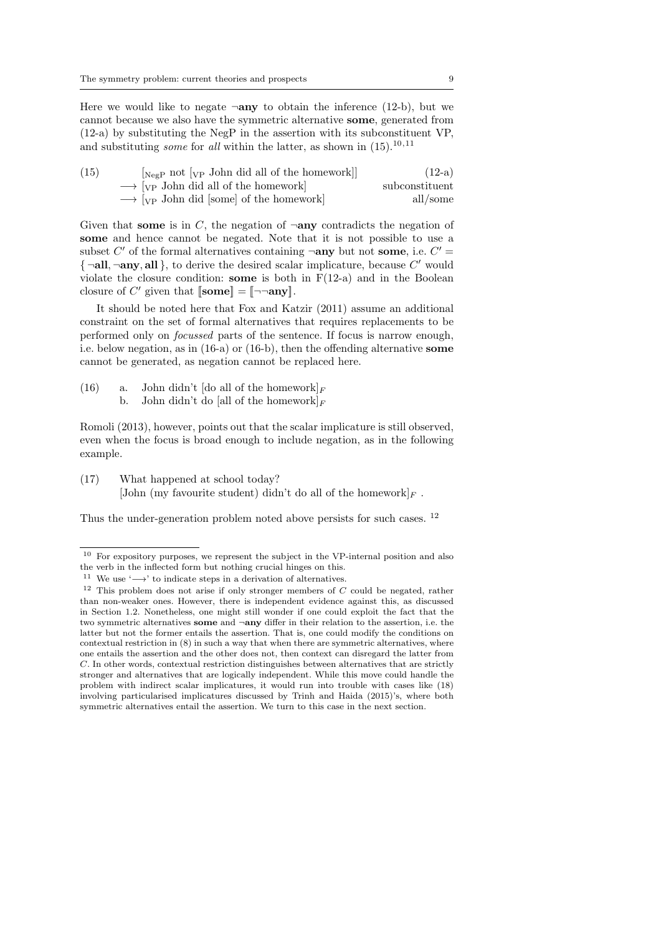Here we would like to negate  $\neg$ any to obtain the inference (12-b), but we cannot because we also have the symmetric alternative some, generated from (12-a) by substituting the NegP in the assertion with its subconstituent VP, and substituting *some* for all within the latter, as shown in  $(15)$ ,  $10,11$ 

| (15) | $[\text{NegP}$ not $[\text{VP}$ John did all of the homework]      | $(12-a)$       |
|------|--------------------------------------------------------------------|----------------|
|      | $\rightarrow$ [ <sub>VP</sub> John did all of the homework]        | subconstituent |
|      | $\longrightarrow$ [ <sub>VP</sub> John did [some] of the homework] | all/some       |

Given that some is in C, the negation of  $\neg$ any contradicts the negation of some and hence cannot be negated. Note that it is not possible to use a subset C' of the formal alternatives containing  $\neg$ any but not some, i.e. C'  $\{\neg \textbf{all}, \neg \textbf{any}, \textbf{all}\},$  to derive the desired scalar implicature, because  $C'$  would violate the closure condition: some is both in  $F(12-a)$  and in the Boolean closure of C' given that  $[\text{some}] = [\neg \neg \text{any}]$ .

It should be noted here that Fox and Katzir (2011) assume an additional constraint on the set of formal alternatives that requires replacements to be performed only on focussed parts of the sentence. If focus is narrow enough, i.e. below negation, as in  $(16-a)$  or  $(16-b)$ , then the offending alternative **some** cannot be generated, as negation cannot be replaced here.

(16) a. John didn't [do all of the homework] $_F$ b. John didn't do [all of the homework] $_F$ 

Romoli (2013), however, points out that the scalar implicature is still observed, even when the focus is broad enough to include negation, as in the following example.

(17) What happened at school today? [John (my favourite student) didn't do all of the homework]<sub>F</sub>.

Thus the under-generation problem noted above persists for such cases. <sup>12</sup>

 $^{10}\,$  For expository purposes, we represent the subject in the VP-internal position and also the verb in the inflected form but nothing crucial hinges on this.

<sup>&</sup>lt;sup>11</sup> We use ' $\longrightarrow$ ' to indicate steps in a derivation of alternatives.

 $12$  This problem does not arise if only stronger members of  $C$  could be negated, rather than non-weaker ones. However, there is independent evidence against this, as discussed in Section 1.2. Nonetheless, one might still wonder if one could exploit the fact that the two symmetric alternatives some and ¬any differ in their relation to the assertion, i.e. the latter but not the former entails the assertion. That is, one could modify the conditions on contextual restriction in (8) in such a way that when there are symmetric alternatives, where one entails the assertion and the other does not, then context can disregard the latter from C. In other words, contextual restriction distinguishes between alternatives that are strictly stronger and alternatives that are logically independent. While this move could handle the problem with indirect scalar implicatures, it would run into trouble with cases like (18) involving particularised implicatures discussed by Trinh and Haida (2015)'s, where both symmetric alternatives entail the assertion. We turn to this case in the next section.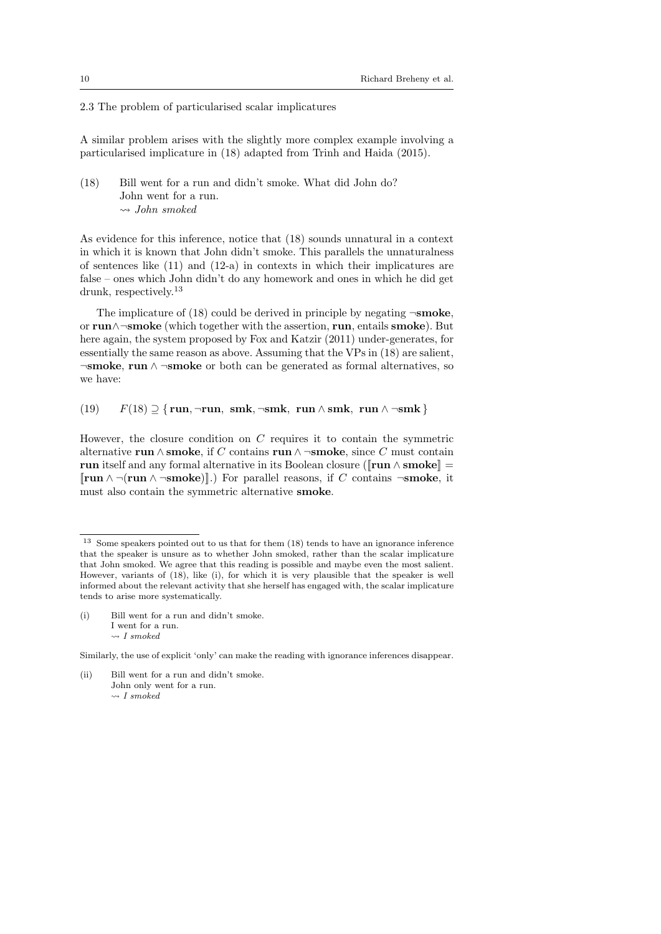#### 2.3 The problem of particularised scalar implicatures

A similar problem arises with the slightly more complex example involving a particularised implicature in (18) adapted from Trinh and Haida (2015).

# (18) Bill went for a run and didn't smoke. What did John do? John went for a run.  $\rightsquigarrow$  John smoked

As evidence for this inference, notice that (18) sounds unnatural in a context in which it is known that John didn't smoke. This parallels the unnaturalness of sentences like  $(11)$  and  $(12-a)$  in contexts in which their implicatures are false – ones which John didn't do any homework and ones in which he did get drunk, respectively.<sup>13</sup>

The implicature of  $(18)$  could be derived in principle by negating  $\neg$ **smoke**, or run∧¬smoke (which together with the assertion, run, entails smoke). But here again, the system proposed by Fox and Katzir (2011) under-generates, for essentially the same reason as above. Assuming that the VPs in (18) are salient, ¬smoke, run ∧ ¬smoke or both can be generated as formal alternatives, so we have:

(19)  $F(18) \supseteq \{ \text{run}, \neg \text{run}, \text{smk}, \neg \text{smk}, \text{run} \land \text{smk}, \text{run} \land \neg \text{smk} \}$ 

However, the closure condition on C requires it to contain the symmetric alternative run ∧ smoke, if C contains run ∧ ¬smoke, since C must contain run itself and any formal alternative in its Boolean closure ( $\lbrack \mathbf{run} \wedge \mathbf{smoke} \rbrack$ )  $[\mathbf{run} \wedge \neg(\mathbf{run} \wedge \neg \mathbf{smoke})]$ .) For parallel reasons, if C contains  $\neg \mathbf{smoke}$ , it must also contain the symmetric alternative smoke.

Similarly, the use of explicit 'only' can make the reading with ignorance inferences disappear.

(ii) Bill went for a run and didn't smoke. John only went for a run.  $\rightarrow$  I smoked

<sup>13</sup> Some speakers pointed out to us that for them (18) tends to have an ignorance inference that the speaker is unsure as to whether John smoked, rather than the scalar implicature that John smoked. We agree that this reading is possible and maybe even the most salient. However, variants of (18), like (i), for which it is very plausible that the speaker is well informed about the relevant activity that she herself has engaged with, the scalar implicature tends to arise more systematically.

<sup>(</sup>i) Bill went for a run and didn't smoke. I went for a run.  $\rightsquigarrow$  I smoked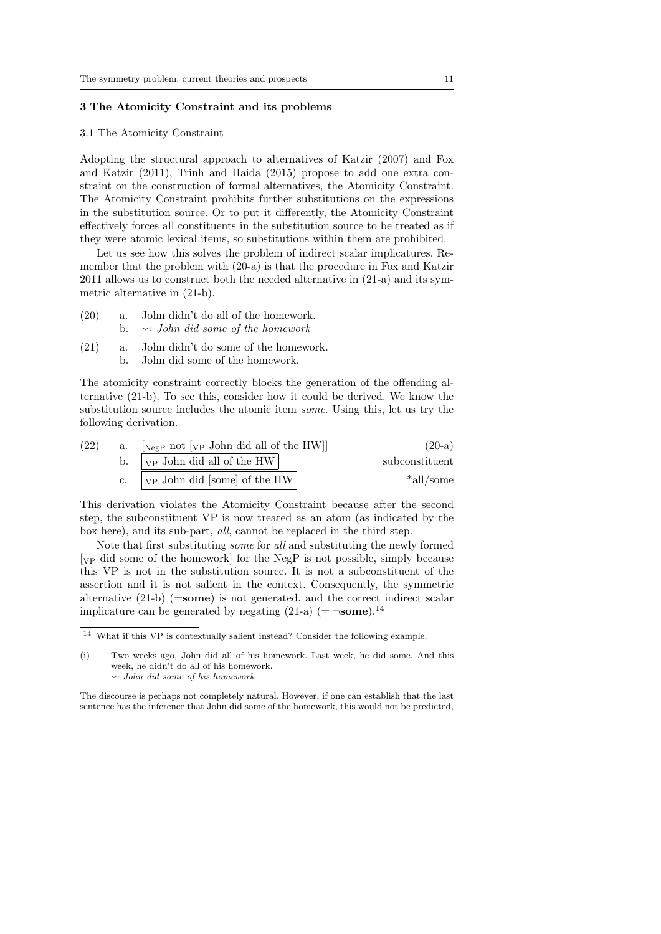## 3 The Atomicity Constraint and its problems

#### 3.1 The Atomicity Constraint

Adopting the structural approach to alternatives of Katzir (2007) and Fox and Katzir (2011), Trinh and Haida (2015) propose to add one extra constraint on the construction of formal alternatives, the Atomicity Constraint. The Atomicity Constraint prohibits further substitutions on the expressions in the substitution source. Or to put it differently, the Atomicity Constraint effectively forces all constituents in the substitution source to be treated as if they were atomic lexical items, so substitutions within them are prohibited.

Let us see how this solves the problem of indirect scalar implicatures. Remember that the problem with (20-a) is that the procedure in Fox and Katzir 2011 allows us to construct both the needed alternative in (21-a) and its symmetric alternative in (21-b).

- (20) a. John didn't do all of the homework. b.  $\rightsquigarrow$  John did some of the homework
- (21) a. John didn't do some of the homework. b. John did some of the homework.

The atomicity constraint correctly blocks the generation of the offending alternative (21-b). To see this, consider how it could be derived. We know the substitution source includes the atomic item some. Using this, let us try the following derivation.

| $(20-a)$       | $\lceil_{\text{NegP}} \text{not } \lceil_{\text{VP}} \text{John did all of the HW} \rceil$ | a. | (22) |
|----------------|--------------------------------------------------------------------------------------------|----|------|
| subconstituent | b. $ _{VP}$ John did all of the HW                                                         |    |      |
| *all/some      | $ _{VP}$ John did [some] of the HW]                                                        |    |      |

This derivation violates the Atomicity Constraint because after the second step, the subconstituent VP is now treated as an atom (as indicated by the box here), and its sub-part, all, cannot be replaced in the third step.

Note that first substituting some for all and substituting the newly formed [VP did some of the homework] for the NegP is not possible, simply because this VP is not in the substitution source. It is not a subconstituent of the assertion and it is not salient in the context. Consequently, the symmetric alternative  $(21-b)$  ( $=$ some) is not generated, and the correct indirect scalar implicature can be generated by negating (21-a) (=  $\neg$ **some**).<sup>14</sup>

 $^{14}\,$  What if this VP is contextually salient instead? Consider the following example.

<sup>(</sup>i) Two weeks ago, John did all of his homework. Last week, he did some. And this week, he didn't do all of his homework.

 $\rightsquigarrow$  John did some of his homework

The discourse is perhaps not completely natural. However, if one can establish that the last sentence has the inference that John did some of the homework, this would not be predicted,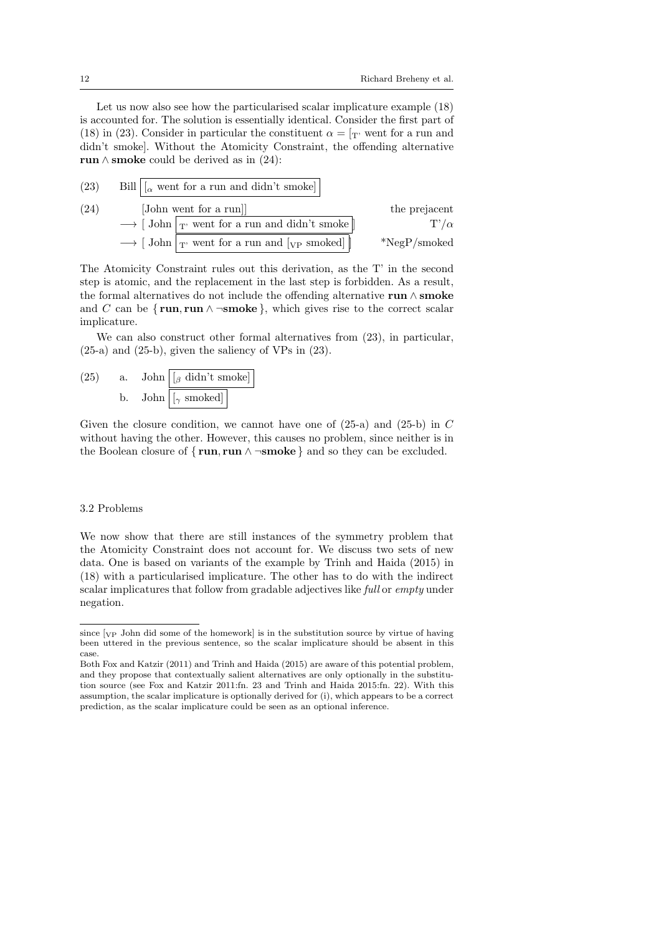Let us now also see how the particularised scalar implicature example (18) is accounted for. The solution is essentially identical. Consider the first part of (18) in (23). Consider in particular the constituent  $\alpha = \gamma$  went for a run and didn't smoke]. Without the Atomicity Constraint, the offending alternative run  $\land$  smoke could be derived as in (24):

(23) Bill 
$$
[\alpha
$$
 went for a run and didn't smoke]  
\n(24) [John went for a run]  
\n $\rightarrow$  [John  $\boxed{\text{r} \cdot \text{went} \text{ for a run and didn't smoke}}$  the prejacent  
\n $\rightarrow$  [John  $\boxed{\text{r} \cdot \text{went} \text{ for a run and [vp smoked]}}$  \*NegP/smoked

The Atomicity Constraint rules out this derivation, as the T' in the second step is atomic, and the replacement in the last step is forbidden. As a result, the formal alternatives do not include the offending alternative run ∧ smoke and C can be  $\{run, run \land \neg \textbf{smoke}\}\,$ , which gives rise to the correct scalar implicature.

We can also construct other formal alternatives from (23), in particular, (25-a) and (25-b), given the saliency of VPs in (23).

(25) a. John 
$$
\boxed{ \boxed{ \beta \text{ didn't smoke} } }
$$
 b. John 
$$
\boxed{ \boxed{ \gamma \text{ smoked} }}
$$

Given the closure condition, we cannot have one of  $(25-a)$  and  $(25-b)$  in C without having the other. However, this causes no problem, since neither is in the Boolean closure of  $\{ run, run \land \neg smoke \}$  and so they can be excluded.

#### 3.2 Problems

We now show that there are still instances of the symmetry problem that the Atomicity Constraint does not account for. We discuss two sets of new data. One is based on variants of the example by Trinh and Haida (2015) in (18) with a particularised implicature. The other has to do with the indirect scalar implicatures that follow from gradable adjectives like full or empty under negation.

since  $[\overline{V_P}$  John did some of the homework] is in the substitution source by virtue of having been uttered in the previous sentence, so the scalar implicature should be absent in this case.

Both Fox and Katzir (2011) and Trinh and Haida (2015) are aware of this potential problem, and they propose that contextually salient alternatives are only optionally in the substitution source (see Fox and Katzir 2011:fn. 23 and Trinh and Haida 2015:fn. 22). With this assumption, the scalar implicature is optionally derived for (i), which appears to be a correct prediction, as the scalar implicature could be seen as an optional inference.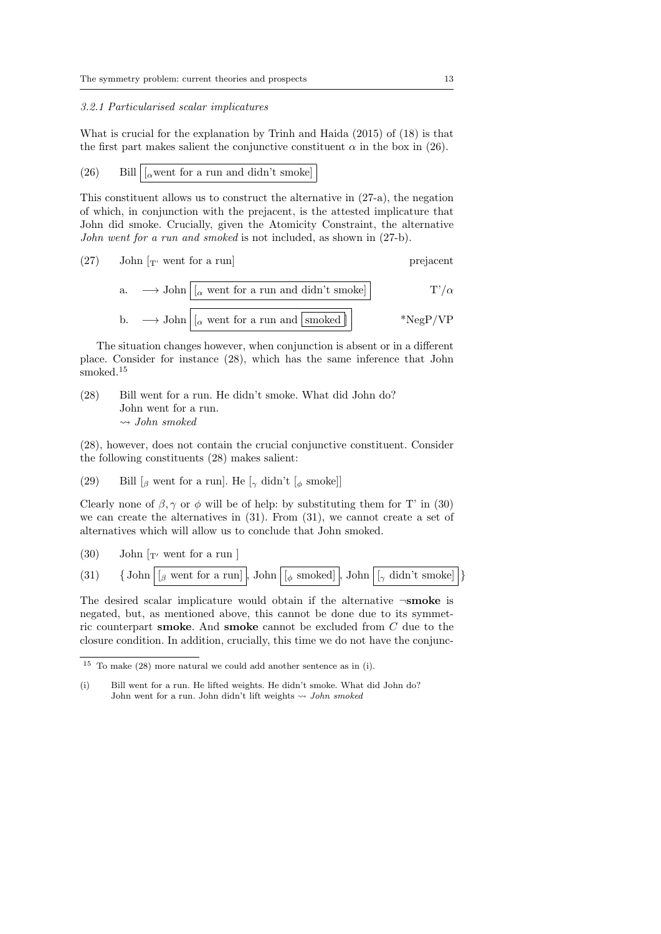#### 3.2.1 Particularised scalar implicatures

What is crucial for the explanation by Trinh and Haida (2015) of (18) is that the first part makes salient the conjunctive constituent  $\alpha$  in the box in (26).

(26) Bill  $\vert \vert_{\alpha}$  went for a run and didn't smoke

This constituent allows us to construct the alternative in (27-a), the negation of which, in conjunction with the prejacent, is the attested implicature that John did smoke. Crucially, given the Atomicity Constraint, the alternative John went for a run and smoked is not included, as shown in (27-b).

(27) John 
$$
[T
$$
 went for a run]

a. 
$$
\longrightarrow
$$
 John  $[(\alpha \text{ went for a run and didn't smoke}]$  T'/ $\alpha$   
b.  $\longrightarrow$  John  $[(\alpha \text{ went for a run and [smoked]]$  \*NegP/VP

The situation changes however, when conjunction is absent or in a different place. Consider for instance (28), which has the same inference that John  $\emph{smoked.}^{\rm 15}$ 

(28) Bill went for a run. He didn't smoke. What did John do? John went for a run.  $\rightsquigarrow$  John smoked

(28), however, does not contain the crucial conjunctive constituent. Consider the following constituents (28) makes salient:

(29) Bill  $\left[\beta \right]$  went for a run]. He  $\left[\gamma \right]$  didn't  $\left[\phi \right]$  smoke

Clearly none of  $\beta$ ,  $\gamma$  or  $\phi$  will be of help: by substituting them for T' in (30) we can create the alternatives in (31). From (31), we cannot create a set of alternatives which will allow us to conclude that John smoked.

(30) John  $\lceil r \rceil$  went for a run ]

(31) { John 
$$
[\beta \text{ went for a run}],
$$
 John  $[\phi \text{ smoothed}],$  John  $[\gamma \text{ didn't smoke}]$ }

The desired scalar implicature would obtain if the alternative  $\neg$ **smoke** is negated, but, as mentioned above, this cannot be done due to its symmetric counterpart **smoke**. And **smoke** cannot be excluded from  $C$  due to the closure condition. In addition, crucially, this time we do not have the conjunc-

 $15$  To make (28) more natural we could add another sentence as in (i).

<sup>(</sup>i) Bill went for a run. He lifted weights. He didn't smoke. What did John do? John went for a run. John didn't lift weights  $\leadsto$  John smoked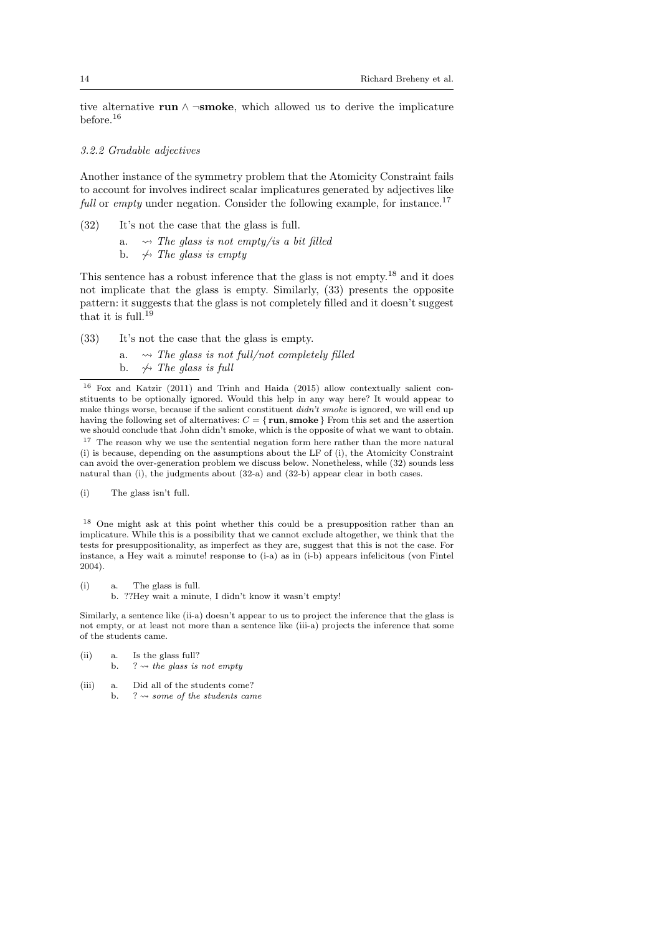tive alternative run  $\wedge \neg \textbf{smoke}$ , which allowed us to derive the implicature before.<sup>16</sup>

# 3.2.2 Gradable adjectives

Another instance of the symmetry problem that the Atomicity Constraint fails to account for involves indirect scalar implicatures generated by adjectives like full or empty under negation. Consider the following example, for instance.<sup>17</sup>

- (32) It's not the case that the glass is full.
	- a.  $\rightarrow$  The glass is not empty/is a bit filled
	- b.  $\leftrightarrow$  The glass is empty

This sentence has a robust inference that the glass is not empty.<sup>18</sup> and it does not implicate that the glass is empty. Similarly, (33) presents the opposite pattern: it suggests that the glass is not completely filled and it doesn't suggest that it is full.<sup>19</sup>

- (33) It's not the case that the glass is empty.
	- a.  $\rightarrow$  The glass is not full/not completely filled
	- b.  $\leftrightarrow$  The glass is full

(i) The glass isn't full.

<sup>18</sup> One might ask at this point whether this could be a presupposition rather than an implicature. While this is a possibility that we cannot exclude altogether, we think that the tests for presuppositionality, as imperfect as they are, suggest that this is not the case. For instance, a Hey wait a minute! response to (i-a) as in (i-b) appears infelicitous (von Fintel 2004).

(i) a. The glass is full. b. ??Hey wait a minute, I didn't know it wasn't empty!

Similarly, a sentence like (ii-a) doesn't appear to us to project the inference that the glass is not empty, or at least not more than a sentence like (iii-a) projects the inference that some of the students came.

- (ii) a. Is the glass full? b. ?  $\rightsquigarrow$  the glass is not empty
- (iii) a. Did all of the students come? b. ?  $\rightsquigarrow$  some of the students came

<sup>16</sup> Fox and Katzir (2011) and Trinh and Haida (2015) allow contextually salient constituents to be optionally ignored. Would this help in any way here? It would appear to make things worse, because if the salient constituent didn't smoke is ignored, we will end up having the following set of alternatives:  $C = \{ \text{run}, \text{smoke} \}$  From this set and the assertion we should conclude that John didn't smoke, which is the opposite of what we want to obtain. <sup>17</sup> The reason why we use the sentential negation form here rather than the more natural (i) is because, depending on the assumptions about the LF of (i), the Atomicity Constraint can avoid the over-generation problem we discuss below. Nonetheless, while (32) sounds less natural than (i), the judgments about (32-a) and (32-b) appear clear in both cases.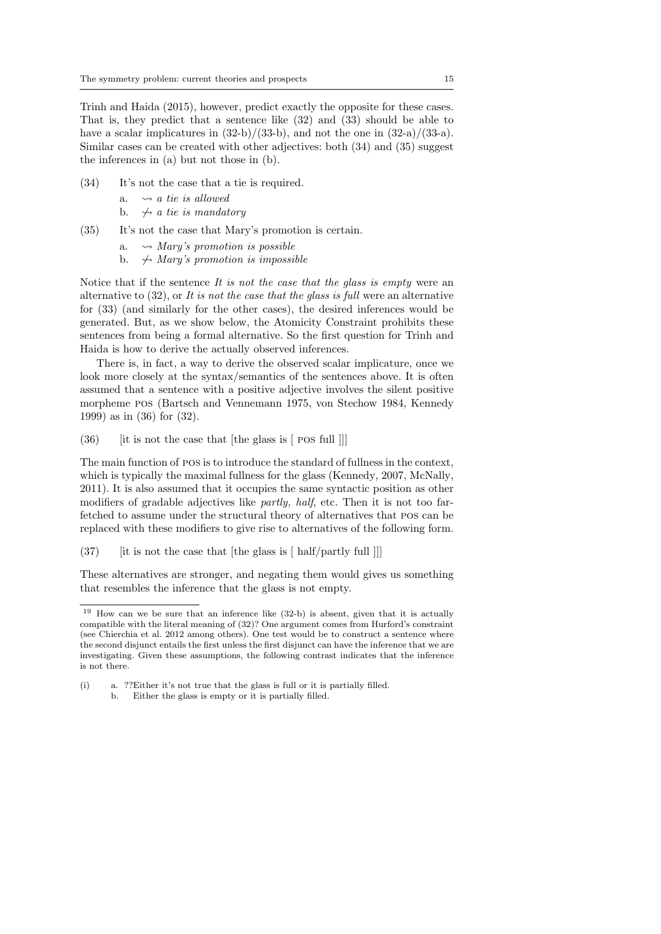Trinh and Haida (2015), however, predict exactly the opposite for these cases. That is, they predict that a sentence like (32) and (33) should be able to have a scalar implicatures in  $(32-b)/(33-b)$ , and not the one in  $(32-a)/(33-a)$ . Similar cases can be created with other adjectives: both (34) and (35) suggest the inferences in (a) but not those in (b).

- (34) It's not the case that a tie is required.
	- a.  $\rightsquigarrow$  a tie is allowed
	- b.  $\leftrightarrow$  a tie is mandatory
- (35) It's not the case that Mary's promotion is certain.
	- a.  $\rightsquigarrow$  Mary's promotion is possible
	- b.  $\rightarrow$  Mary's promotion is impossible

Notice that if the sentence It is not the case that the glass is empty were an alternative to  $(32)$ , or It is not the case that the glass is full were an alternative for (33) (and similarly for the other cases), the desired inferences would be generated. But, as we show below, the Atomicity Constraint prohibits these sentences from being a formal alternative. So the first question for Trinh and Haida is how to derive the actually observed inferences.

There is, in fact, a way to derive the observed scalar implicature, once we look more closely at the syntax/semantics of the sentences above. It is often assumed that a sentence with a positive adjective involves the silent positive morpheme pos (Bartsch and Vennemann 1975, von Stechow 1984, Kennedy 1999) as in (36) for (32).

 $(36)$  [it is not the case that [the glass is [ pos full ]]]

The main function of pos is to introduce the standard of fullness in the context, which is typically the maximal fullness for the glass (Kennedy, 2007, McNally, 2011). It is also assumed that it occupies the same syntactic position as other modifiers of gradable adjectives like partly, half, etc. Then it is not too farfetched to assume under the structural theory of alternatives that pos can be replaced with these modifiers to give rise to alternatives of the following form.

(37)  $[$  [it is not the case that [the glass is  $[$  half/partly full ]]]

These alternatives are stronger, and negating them would gives us something that resembles the inference that the glass is not empty.

 $19$  How can we be sure that an inference like (32-b) is absent, given that it is actually compatible with the literal meaning of (32)? One argument comes from Hurford's constraint (see Chierchia et al. 2012 among others). One test would be to construct a sentence where the second disjunct entails the first unless the first disjunct can have the inference that we are investigating. Given these assumptions, the following contrast indicates that the inference is not there.

<sup>(</sup>i) a. ??Either it's not true that the glass is full or it is partially filled. b. Either the glass is empty or it is partially filled.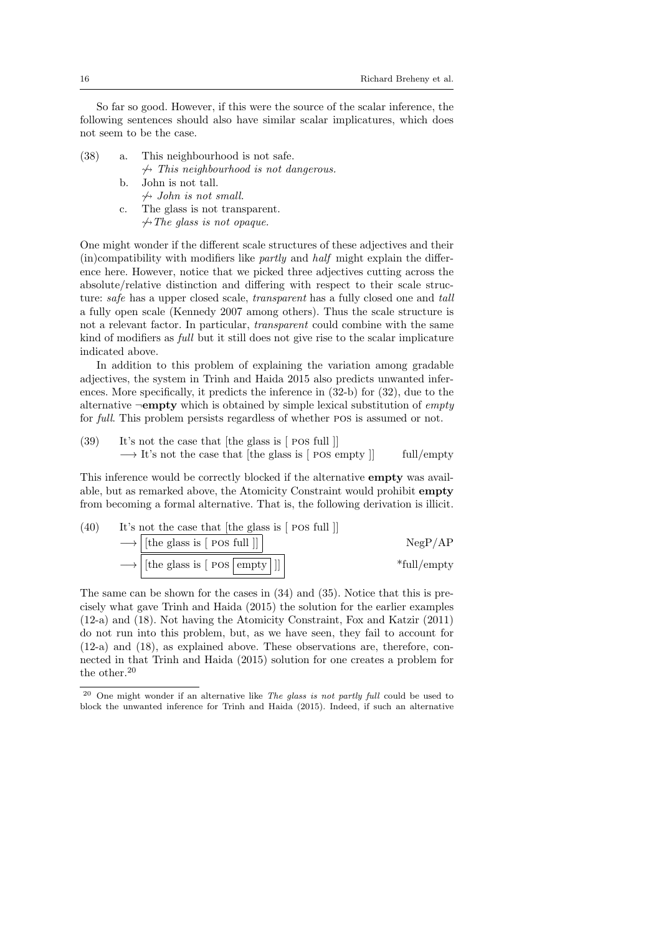So far so good. However, if this were the source of the scalar inference, the following sentences should also have similar scalar implicatures, which does not seem to be the case.

- (38) a. This neighbourhood is not safe.
	- $\leftrightarrow$  This neighbourhood is not dangerous.
	- b. John is not tall.  $\leftrightarrow$  John is not small.
	- c. The glass is not transparent.
		- $\rightarrow$  The glass is not opaque.

One might wonder if the different scale structures of these adjectives and their  $(i)$  (in)compatibility with modifiers like *partly* and *half* might explain the difference here. However, notice that we picked three adjectives cutting across the absolute/relative distinction and differing with respect to their scale structure: *safe* has a upper closed scale, *transparent* has a fully closed one and *tall* a fully open scale (Kennedy 2007 among others). Thus the scale structure is not a relevant factor. In particular, transparent could combine with the same kind of modifiers as full but it still does not give rise to the scalar implicature indicated above.

In addition to this problem of explaining the variation among gradable adjectives, the system in Trinh and Haida 2015 also predicts unwanted inferences. More specifically, it predicts the inference in (32-b) for (32), due to the alternative  $\neg$ **empty** which is obtained by simple lexical substitution of *empty* for full. This problem persists regardless of whether pos is assumed or not.

(39) It's not the case that [the glass is [ pos full ]]  $\rightarrow$  It's not the case that [the glass is [ POS empty ]] full/empty

This inference would be correctly blocked if the alternative empty was available, but as remarked above, the Atomicity Constraint would prohibit empty from becoming a formal alternative. That is, the following derivation is illicit.

(40) It's not the case that [the glass is [ 
$$
\text{pos full } ] ]
$$
]\n
$$
\longrightarrow \boxed{[\text{the glass is [  $\text{pos full } ] ] }$  ]\n
$$
\longrightarrow \boxed{[\text{the glass is [  $\text{pos } \boxed{\text{empty} ] } ] ]}$  }\n
$$
\longrightarrow \boxed{[\text{the glass is [  $\text{pos } \boxed{\text{empty} ] } ] ]}$  }\n*
$$
\text{full/empty}
$$
$$
$$
$$

The same can be shown for the cases in (34) and (35). Notice that this is precisely what gave Trinh and Haida (2015) the solution for the earlier examples (12-a) and (18). Not having the Atomicity Constraint, Fox and Katzir (2011) do not run into this problem, but, as we have seen, they fail to account for (12-a) and (18), as explained above. These observations are, therefore, connected in that Trinh and Haida (2015) solution for one creates a problem for the other.<sup>20</sup>

 $20$  One might wonder if an alternative like The glass is not partly full could be used to block the unwanted inference for Trinh and Haida (2015). Indeed, if such an alternative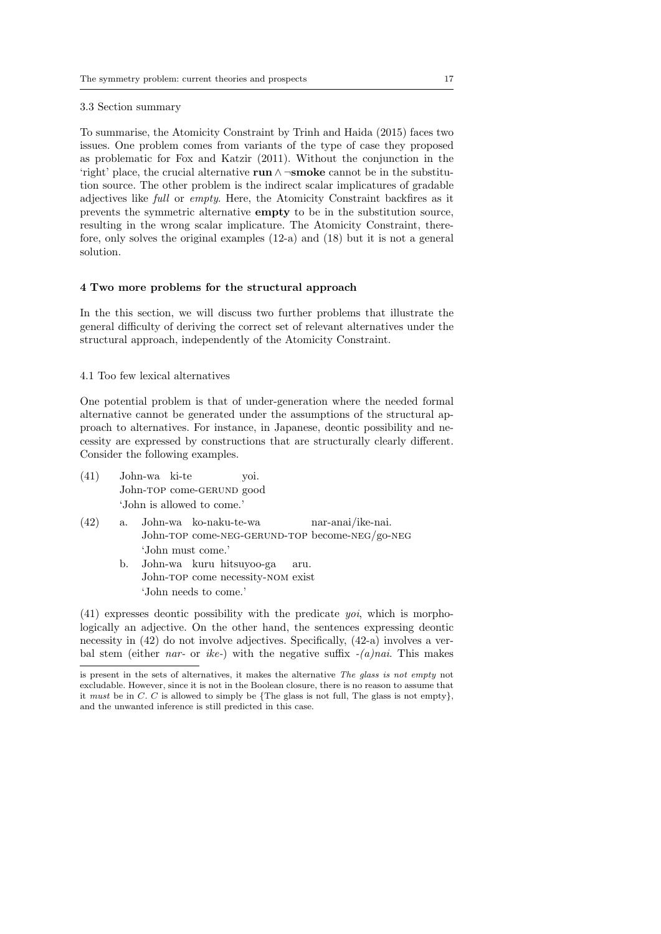3.3 Section summary

To summarise, the Atomicity Constraint by Trinh and Haida (2015) faces two issues. One problem comes from variants of the type of case they proposed as problematic for Fox and Katzir (2011). Without the conjunction in the 'right' place, the crucial alternative run ∧ ¬smoke cannot be in the substitution source. The other problem is the indirect scalar implicatures of gradable adjectives like full or empty. Here, the Atomicity Constraint backfires as it prevents the symmetric alternative empty to be in the substitution source, resulting in the wrong scalar implicature. The Atomicity Constraint, therefore, only solves the original examples (12-a) and (18) but it is not a general solution.

#### 4 Two more problems for the structural approach

In the this section, we will discuss two further problems that illustrate the general difficulty of deriving the correct set of relevant alternatives under the structural approach, independently of the Atomicity Constraint.

4.1 Too few lexical alternatives

One potential problem is that of under-generation where the needed formal alternative cannot be generated under the assumptions of the structural approach to alternatives. For instance, in Japanese, deontic possibility and necessity are expressed by constructions that are structurally clearly different. Consider the following examples.

- (41) John-wa ki-te John-TOP come-GERUND good yoi. 'John is allowed to come.'
- (42) a. John-wa ko-naku-te-wa John-TOP come-NEG-GERUND-TOP become-NEG/go-NEG nar-anai/ike-nai. 'John must come.'
	- b. John-wa kuru hitsuyoo-ga John-TOP come necessity-NOM exist aru. 'John needs to come.'

(41) expresses deontic possibility with the predicate yoi, which is morphologically an adjective. On the other hand, the sentences expressing deontic necessity in (42) do not involve adjectives. Specifically, (42-a) involves a verbal stem (either nar- or ike-) with the negative suffix  $-(a)$ nai. This makes

is present in the sets of alternatives, it makes the alternative The glass is not empty not excludable. However, since it is not in the Boolean closure, there is no reason to assume that it must be in  $C$ .  $C$  is allowed to simply be {The glass is not full, The glass is not empty}, and the unwanted inference is still predicted in this case.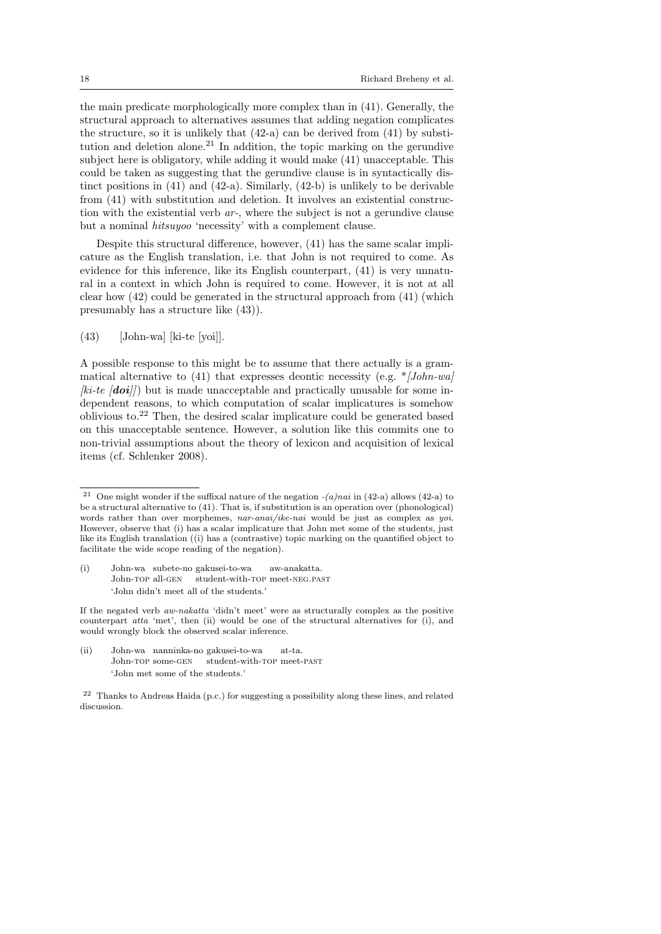the main predicate morphologically more complex than in (41). Generally, the structural approach to alternatives assumes that adding negation complicates the structure, so it is unlikely that (42-a) can be derived from (41) by substitution and deletion alone.<sup>21</sup> In addition, the topic marking on the gerundive subject here is obligatory, while adding it would make (41) unacceptable. This could be taken as suggesting that the gerundive clause is in syntactically distinct positions in (41) and (42-a). Similarly, (42-b) is unlikely to be derivable from (41) with substitution and deletion. It involves an existential construction with the existential verb ar-, where the subject is not a gerundive clause but a nominal hitsuyoo 'necessity' with a complement clause.

Despite this structural difference, however, (41) has the same scalar implicature as the English translation, i.e. that John is not required to come. As evidence for this inference, like its English counterpart, (41) is very unnatural in a context in which John is required to come. However, it is not at all clear how (42) could be generated in the structural approach from (41) (which presumably has a structure like (43)).

 $(43)$  [John-wa] [ki-te [yoi]].

A possible response to this might be to assume that there actually is a grammatical alternative to (41) that expresses deontic necessity (e.g.  $\ast$  [John-wa]  $[ki-te | doii|]$  but is made unacceptable and practically unusable for some independent reasons, to which computation of scalar implicatures is somehow oblivious to.<sup>22</sup> Then, the desired scalar implicature could be generated based on this unacceptable sentence. However, a solution like this commits one to non-trivial assumptions about the theory of lexicon and acquisition of lexical items (cf. Schlenker 2008).

(i) John-wa subete-no gakusei-to-wa John-top all-gen student-with-TOP meet-NEG.PAST aw-anakatta. 'John didn't meet all of the students.'

If the negated verb aw-nakatta 'didn't meet' were as structurally complex as the positive counterpart atta 'met', then (ii) would be one of the structural alternatives for (i), and would wrongly block the observed scalar inference.

(ii) John-wa nanninka-no gakusei-to-wa John-TOP some-GEN student-with-TOP meet-PAST at-ta. 'John met some of the students.'

<sup>22</sup> Thanks to Andreas Haida (p.c.) for suggesting a possibility along these lines, and related discussion.

<sup>&</sup>lt;sup>21</sup> One might wonder if the suffixal nature of the negation  $-(a)nai$  in (42-a) allows (42-a) to be a structural alternative to (41). That is, if substitution is an operation over (phonological) words rather than over morphemes, nar-anai/ike-nai would be just as complex as yoi. However, observe that (i) has a scalar implicature that John met some of the students, just like its English translation ((i) has a (contrastive) topic marking on the quantified object to facilitate the wide scope reading of the negation).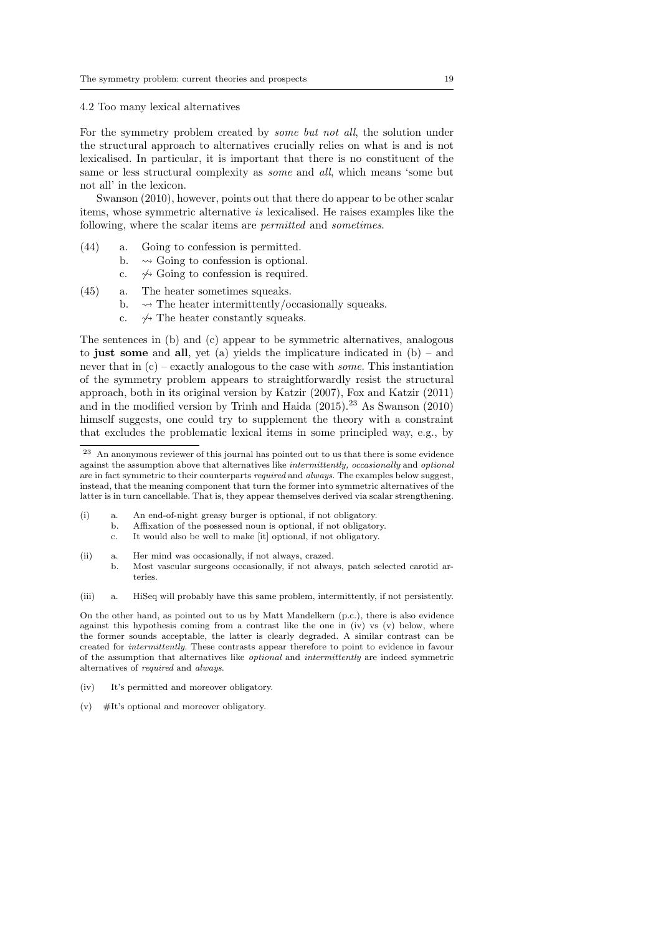#### 4.2 Too many lexical alternatives

For the symmetry problem created by some but not all, the solution under the structural approach to alternatives crucially relies on what is and is not lexicalised. In particular, it is important that there is no constituent of the same or less structural complexity as some and all, which means 'some but not all' in the lexicon.

Swanson (2010), however, points out that there do appear to be other scalar items, whose symmetric alternative is lexicalised. He raises examples like the following, where the scalar items are *permitted* and *sometimes*.

- (44) a. Going to confession is permitted.
	- b.  $\rightarrow$  Going to confession is optional.
	- c.  $\leftrightarrow$  Going to confession is required.
- (45) a. The heater sometimes squeaks.
	- b.  $\rightarrow$  The heater intermittently/occasionally squeaks.
	- c.  $\leftrightarrow$  The heater constantly squeaks.

The sentences in (b) and (c) appear to be symmetric alternatives, analogous to just some and all, yet (a) yields the implicature indicated in  $(b)$  – and never that in  $(c)$  – exactly analogous to the case with *some*. This instantiation of the symmetry problem appears to straightforwardly resist the structural approach, both in its original version by Katzir (2007), Fox and Katzir (2011) and in the modified version by Trinh and Haida  $(2015).^{23}$  As Swanson  $(2010)$ himself suggests, one could try to supplement the theory with a constraint that excludes the problematic lexical items in some principled way, e.g., by

- (i) a. An end-of-night greasy burger is optional, if not obligatory.
	- b. Affixation of the possessed noun is optional, if not obligatory.
	- c. It would also be well to make [it] optional, if not obligatory.
- (ii) a. Her mind was occasionally, if not always, crazed. b. Most vascular surgeons occasionally, if not always, patch selected carotid arteries.

(iii) a. HiSeq will probably have this same problem, intermittently, if not persistently.

On the other hand, as pointed out to us by Matt Mandelkern (p.c.), there is also evidence against this hypothesis coming from a contrast like the one in  $(iv)$  vs  $(v)$  below, where the former sounds acceptable, the latter is clearly degraded. A similar contrast can be created for intermittently. These contrasts appear therefore to point to evidence in favour of the assumption that alternatives like optional and intermittently are indeed symmetric alternatives of required and always.

- (iv) It's permitted and moreover obligatory.
- (v) #It's optional and moreover obligatory.

An anonymous reviewer of this journal has pointed out to us that there is some evidence against the assumption above that alternatives like intermittently, occasionally and optional are in fact symmetric to their counterparts required and always. The examples below suggest, instead, that the meaning component that turn the former into symmetric alternatives of the latter is in turn cancellable. That is, they appear themselves derived via scalar strengthening.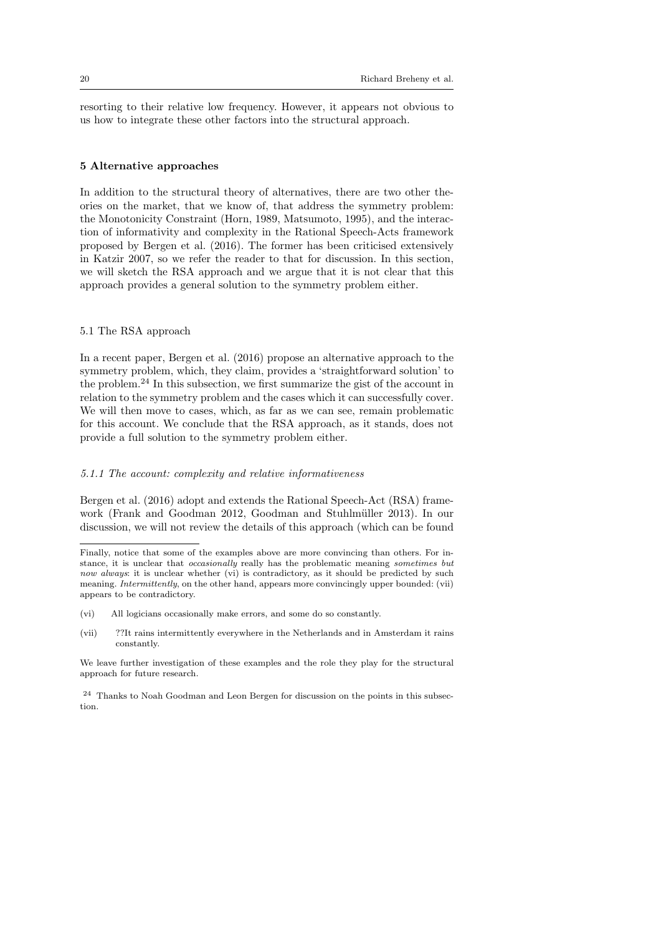resorting to their relative low frequency. However, it appears not obvious to us how to integrate these other factors into the structural approach.

## 5 Alternative approaches

In addition to the structural theory of alternatives, there are two other theories on the market, that we know of, that address the symmetry problem: the Monotonicity Constraint (Horn, 1989, Matsumoto, 1995), and the interaction of informativity and complexity in the Rational Speech-Acts framework proposed by Bergen et al. (2016). The former has been criticised extensively in Katzir 2007, so we refer the reader to that for discussion. In this section, we will sketch the RSA approach and we argue that it is not clear that this approach provides a general solution to the symmetry problem either.

## 5.1 The RSA approach

In a recent paper, Bergen et al. (2016) propose an alternative approach to the symmetry problem, which, they claim, provides a 'straightforward solution' to the problem.<sup>24</sup> In this subsection, we first summarize the gist of the account in relation to the symmetry problem and the cases which it can successfully cover. We will then move to cases, which, as far as we can see, remain problematic for this account. We conclude that the RSA approach, as it stands, does not provide a full solution to the symmetry problem either.

#### 5.1.1 The account: complexity and relative informativeness

Bergen et al. (2016) adopt and extends the Rational Speech-Act (RSA) framework (Frank and Goodman 2012, Goodman and Stuhlmüller 2013). In our discussion, we will not review the details of this approach (which can be found

(vii) ??It rains intermittently everywhere in the Netherlands and in Amsterdam it rains constantly.

Finally, notice that some of the examples above are more convincing than others. For instance, it is unclear that occasionally really has the problematic meaning sometimes but now always: it is unclear whether (vi) is contradictory, as it should be predicted by such meaning. *Intermittently*, on the other hand, appears more convincingly upper bounded: (vii) appears to be contradictory.

<sup>(</sup>vi) All logicians occasionally make errors, and some do so constantly.

We leave further investigation of these examples and the role they play for the structural approach for future research.

<sup>24</sup> Thanks to Noah Goodman and Leon Bergen for discussion on the points in this subsection.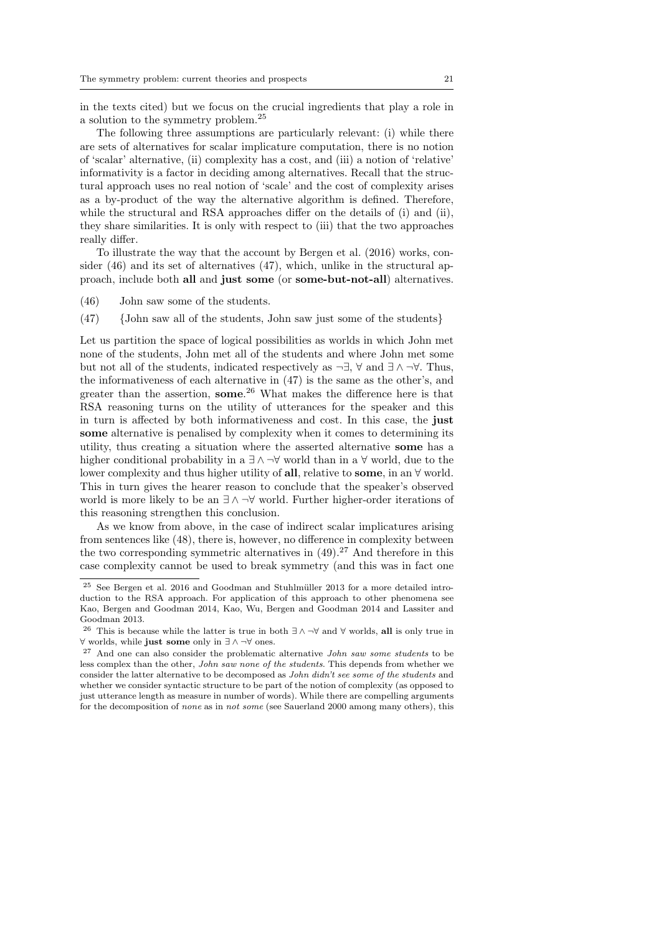in the texts cited) but we focus on the crucial ingredients that play a role in a solution to the symmetry problem.<sup>25</sup>

The following three assumptions are particularly relevant: (i) while there are sets of alternatives for scalar implicature computation, there is no notion of 'scalar' alternative, (ii) complexity has a cost, and (iii) a notion of 'relative' informativity is a factor in deciding among alternatives. Recall that the structural approach uses no real notion of 'scale' and the cost of complexity arises as a by-product of the way the alternative algorithm is defined. Therefore, while the structural and RSA approaches differ on the details of (i) and (ii), they share similarities. It is only with respect to (iii) that the two approaches really differ.

To illustrate the way that the account by Bergen et al. (2016) works, consider  $(46)$  and its set of alternatives  $(47)$ , which, unlike in the structural approach, include both all and just some (or some-but-not-all) alternatives.

- (46) John saw some of the students.
- (47) {John saw all of the students, John saw just some of the students}

Let us partition the space of logical possibilities as worlds in which John met none of the students, John met all of the students and where John met some but not all of the students, indicated respectively as  $\neg \exists$ ,  $\forall$  and  $\exists \land \neg \forall$ . Thus, the informativeness of each alternative in (47) is the same as the other's, and greater than the assertion, some.<sup>26</sup> What makes the difference here is that RSA reasoning turns on the utility of utterances for the speaker and this in turn is affected by both informativeness and cost. In this case, the just some alternative is penalised by complexity when it comes to determining its utility, thus creating a situation where the asserted alternative some has a higher conditional probability in a  $\exists \land \neg \forall$  world than in a  $\forall$  world, due to the lower complexity and thus higher utility of **all**, relative to **some**, in an  $\forall$  world. This in turn gives the hearer reason to conclude that the speaker's observed world is more likely to be an  $\exists \land \neg \forall$  world. Further higher-order iterations of this reasoning strengthen this conclusion.

As we know from above, in the case of indirect scalar implicatures arising from sentences like (48), there is, however, no difference in complexity between the two corresponding symmetric alternatives in  $(49)$ .<sup>27</sup> And therefore in this case complexity cannot be used to break symmetry (and this was in fact one

 $25$  See Bergen et al. 2016 and Goodman and Stuhlmüller 2013 for a more detailed introduction to the RSA approach. For application of this approach to other phenomena see Kao, Bergen and Goodman 2014, Kao, Wu, Bergen and Goodman 2014 and Lassiter and Goodman 2013.

<sup>&</sup>lt;sup>26</sup> This is because while the latter is true in both  $\exists \wedge \neg \forall$  and  $\forall$  worlds, all is only true in ∀ worlds, while just some only in ∃ ∧ ¬∀ ones.

<sup>27</sup> And one can also consider the problematic alternative John saw some students to be less complex than the other, John saw none of the students. This depends from whether we consider the latter alternative to be decomposed as John didn't see some of the students and whether we consider syntactic structure to be part of the notion of complexity (as opposed to just utterance length as measure in number of words). While there are compelling arguments for the decomposition of none as in not some (see Sauerland 2000 among many others), this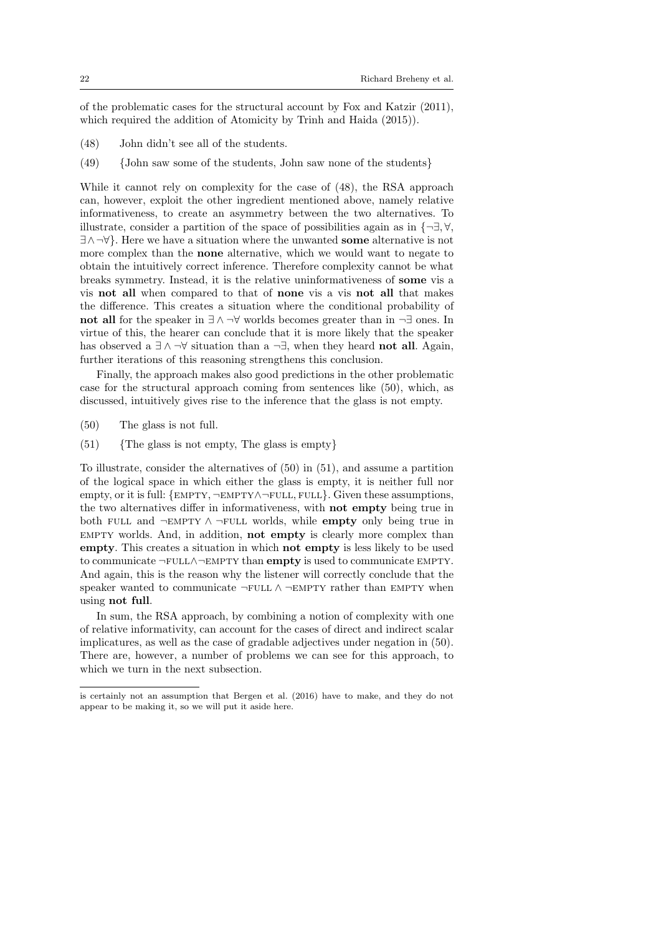of the problematic cases for the structural account by Fox and Katzir (2011), which required the addition of Atomicity by Trinh and Haida (2015)).

- (48) John didn't see all of the students.
- (49) {John saw some of the students, John saw none of the students}

While it cannot rely on complexity for the case of (48), the RSA approach can, however, exploit the other ingredient mentioned above, namely relative informativeness, to create an asymmetry between the two alternatives. To illustrate, consider a partition of the space of possibilities again as in  $\{\neg \exists, \forall,$ ∃∧¬∀}. Here we have a situation where the unwanted some alternative is not more complex than the none alternative, which we would want to negate to obtain the intuitively correct inference. Therefore complexity cannot be what breaks symmetry. Instead, it is the relative uninformativeness of some vis a vis not all when compared to that of none vis a vis not all that makes the difference. This creates a situation where the conditional probability of not all for the speaker in ∃ ∧ ¬∀ worlds becomes greater than in ¬∃ ones. In virtue of this, the hearer can conclude that it is more likely that the speaker has observed a  $\exists \wedge \neg \forall$  situation than a  $\neg \exists$ , when they heard **not all**. Again, further iterations of this reasoning strengthens this conclusion.

Finally, the approach makes also good predictions in the other problematic case for the structural approach coming from sentences like (50), which, as discussed, intuitively gives rise to the inference that the glass is not empty.

- (50) The glass is not full.
- $(51)$  {The glass is not empty, The glass is empty}

To illustrate, consider the alternatives of (50) in (51), and assume a partition of the logical space in which either the glass is empty, it is neither full nor empty, or it is full:  ${EmPTY \rightarrow EMPTY \rightarrow FULL}$ . Given these assumptions, the two alternatives differ in informativeness, with not empty being true in both FULL and  $\neg$ EMPTY  $\land \neg$ FULL worlds, while **empty** only being true in empty worlds. And, in addition, not empty is clearly more complex than empty. This creates a situation in which not empty is less likely to be used to communicate ¬full∧¬empty than empty is used to communicate empty. And again, this is the reason why the listener will correctly conclude that the speaker wanted to communicate  $\neg$ FULL  $\land \neg$ EMPTY rather than EMPTY when using not full.

In sum, the RSA approach, by combining a notion of complexity with one of relative informativity, can account for the cases of direct and indirect scalar implicatures, as well as the case of gradable adjectives under negation in (50). There are, however, a number of problems we can see for this approach, to which we turn in the next subsection.

is certainly not an assumption that Bergen et al. (2016) have to make, and they do not appear to be making it, so we will put it aside here.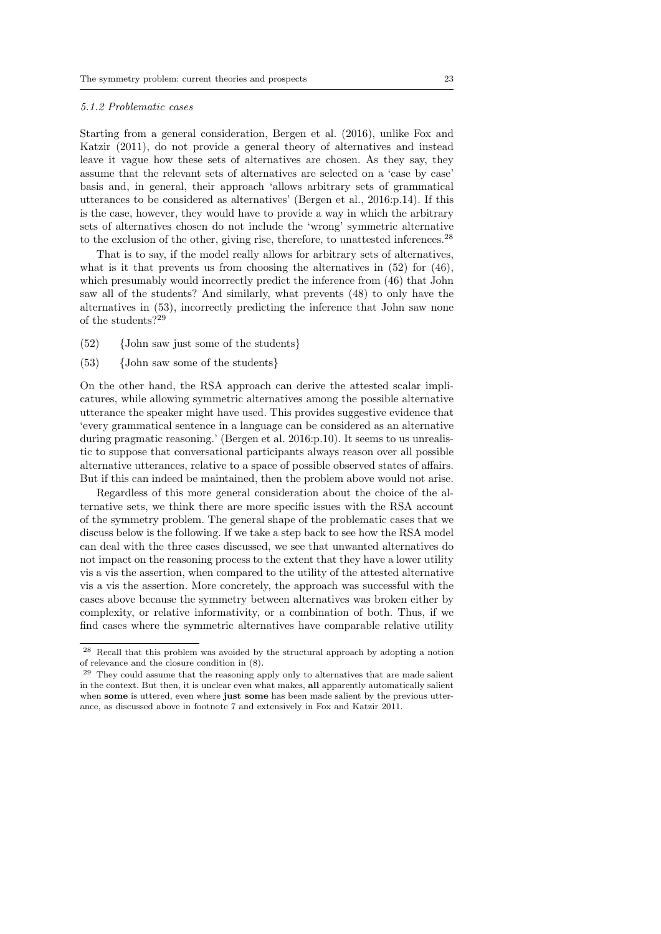#### 5.1.2 Problematic cases

Starting from a general consideration, Bergen et al. (2016), unlike Fox and Katzir (2011), do not provide a general theory of alternatives and instead leave it vague how these sets of alternatives are chosen. As they say, they assume that the relevant sets of alternatives are selected on a 'case by case' basis and, in general, their approach 'allows arbitrary sets of grammatical utterances to be considered as alternatives' (Bergen et al., 2016:p.14). If this is the case, however, they would have to provide a way in which the arbitrary sets of alternatives chosen do not include the 'wrong' symmetric alternative to the exclusion of the other, giving rise, therefore, to unattested inferences.<sup>28</sup>

That is to say, if the model really allows for arbitrary sets of alternatives, what is it that prevents us from choosing the alternatives in  $(52)$  for  $(46)$ , which presumably would incorrectly predict the inference from (46) that John saw all of the students? And similarly, what prevents (48) to only have the alternatives in (53), incorrectly predicting the inference that John saw none of the students?<sup>29</sup>

- (52) {John saw just some of the students}
- (53) {John saw some of the students}

On the other hand, the RSA approach can derive the attested scalar implicatures, while allowing symmetric alternatives among the possible alternative utterance the speaker might have used. This provides suggestive evidence that 'every grammatical sentence in a language can be considered as an alternative during pragmatic reasoning.' (Bergen et al. 2016:p.10). It seems to us unrealistic to suppose that conversational participants always reason over all possible alternative utterances, relative to a space of possible observed states of affairs. But if this can indeed be maintained, then the problem above would not arise.

Regardless of this more general consideration about the choice of the alternative sets, we think there are more specific issues with the RSA account of the symmetry problem. The general shape of the problematic cases that we discuss below is the following. If we take a step back to see how the RSA model can deal with the three cases discussed, we see that unwanted alternatives do not impact on the reasoning process to the extent that they have a lower utility vis a vis the assertion, when compared to the utility of the attested alternative vis a vis the assertion. More concretely, the approach was successful with the cases above because the symmetry between alternatives was broken either by complexity, or relative informativity, or a combination of both. Thus, if we find cases where the symmetric alternatives have comparable relative utility

<sup>28</sup> Recall that this problem was avoided by the structural approach by adopting a notion of relevance and the closure condition in (8).

<sup>&</sup>lt;sup>29</sup> They could assume that the reasoning apply only to alternatives that are made salient in the context. But then, it is unclear even what makes, all apparently automatically salient when some is uttered, even where just some has been made salient by the previous utterance, as discussed above in footnote 7 and extensively in Fox and Katzir 2011.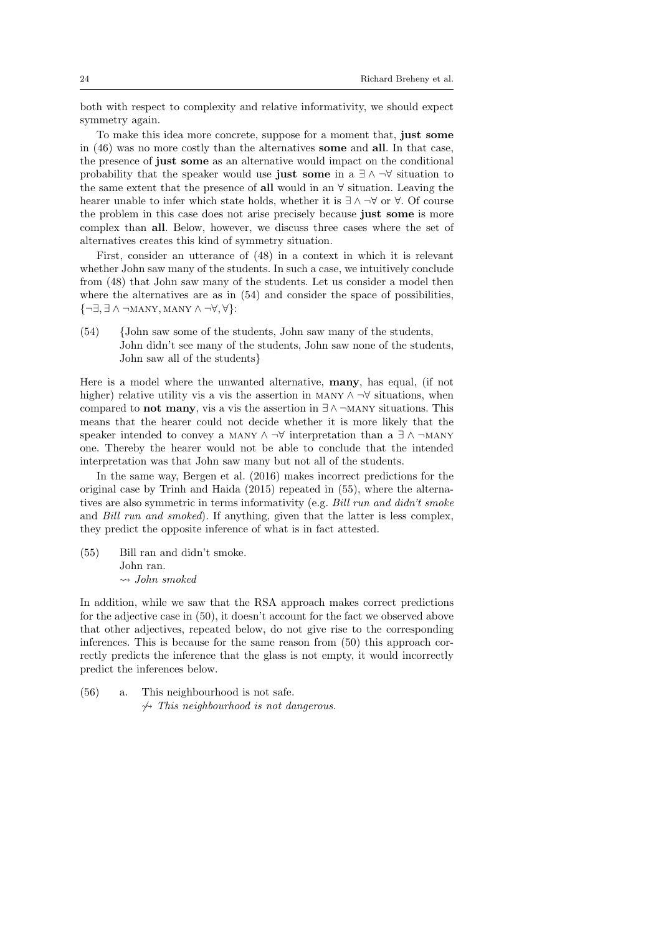both with respect to complexity and relative informativity, we should expect symmetry again.

To make this idea more concrete, suppose for a moment that, just some in (46) was no more costly than the alternatives some and all. In that case, the presence of just some as an alternative would impact on the conditional probability that the speaker would use just some in a  $\exists \land \neg \forall$  situation to the same extent that the presence of all would in an ∀ situation. Leaving the hearer unable to infer which state holds, whether it is  $\exists \wedge \neg \forall$  or  $\forall$ . Of course the problem in this case does not arise precisely because just some is more complex than all. Below, however, we discuss three cases where the set of alternatives creates this kind of symmetry situation.

First, consider an utterance of (48) in a context in which it is relevant whether John saw many of the students. In such a case, we intuitively conclude from (48) that John saw many of the students. Let us consider a model then where the alternatives are as in (54) and consider the space of possibilities, {¬∃, ∃ ∧ ¬many, many ∧ ¬∀, ∀}:

(54) {John saw some of the students, John saw many of the students, John didn't see many of the students, John saw none of the students, John saw all of the students}

Here is a model where the unwanted alternative, many, has equal, (if not higher) relative utility vis a vis the assertion in MANY  $\land \neg \forall$  situations, when compared to **not many**, vis a vis the assertion in  $\exists \land \neg$ MANY situations. This means that the hearer could not decide whether it is more likely that the speaker intended to convey a MANY  $\land \neg \forall$  interpretation than a  $\exists \land \neg$ MANY one. Thereby the hearer would not be able to conclude that the intended interpretation was that John saw many but not all of the students.

In the same way, Bergen et al. (2016) makes incorrect predictions for the original case by Trinh and Haida (2015) repeated in (55), where the alternatives are also symmetric in terms informativity (e.g. Bill run and didn't smoke and Bill run and smoked). If anything, given that the latter is less complex, they predict the opposite inference of what is in fact attested.

(55) Bill ran and didn't smoke. John ran.  $\rightsquigarrow$  John smoked

In addition, while we saw that the RSA approach makes correct predictions for the adjective case in (50), it doesn't account for the fact we observed above that other adjectives, repeated below, do not give rise to the corresponding inferences. This is because for the same reason from (50) this approach correctly predicts the inference that the glass is not empty, it would incorrectly predict the inferences below.

(56) a. This neighbourhood is not safe.  $\rightarrow$  This neighbourhood is not dangerous.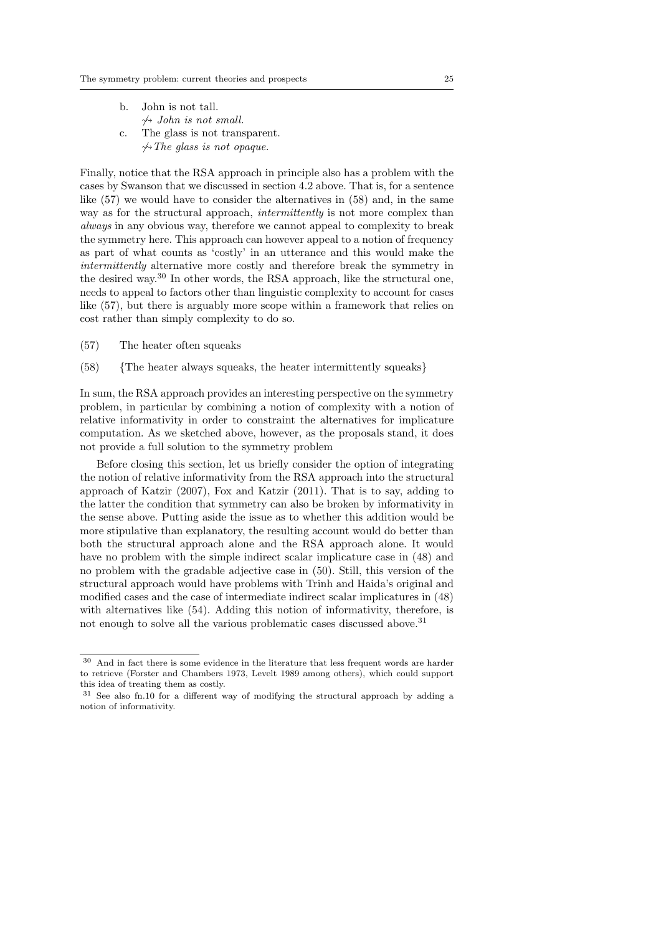|                | b. John is not tall.                   |
|----------------|----------------------------------------|
|                | $\rightsquigarrow$ John is not small.  |
| $\mathbf{c}$ . | The glass is not transparent.          |
|                | $\rightarrow$ The glass is not opaque. |

Finally, notice that the RSA approach in principle also has a problem with the cases by Swanson that we discussed in section 4.2 above. That is, for a sentence like (57) we would have to consider the alternatives in (58) and, in the same way as for the structural approach, *intermittently* is not more complex than always in any obvious way, therefore we cannot appeal to complexity to break the symmetry here. This approach can however appeal to a notion of frequency as part of what counts as 'costly' in an utterance and this would make the intermittently alternative more costly and therefore break the symmetry in the desired way.<sup>30</sup> In other words, the RSA approach, like the structural one, needs to appeal to factors other than linguistic complexity to account for cases like (57), but there is arguably more scope within a framework that relies on cost rather than simply complexity to do so.

- (57) The heater often squeaks
- (58) {The heater always squeaks, the heater intermittently squeaks}

In sum, the RSA approach provides an interesting perspective on the symmetry problem, in particular by combining a notion of complexity with a notion of relative informativity in order to constraint the alternatives for implicature computation. As we sketched above, however, as the proposals stand, it does not provide a full solution to the symmetry problem

Before closing this section, let us briefly consider the option of integrating the notion of relative informativity from the RSA approach into the structural approach of Katzir (2007), Fox and Katzir (2011). That is to say, adding to the latter the condition that symmetry can also be broken by informativity in the sense above. Putting aside the issue as to whether this addition would be more stipulative than explanatory, the resulting account would do better than both the structural approach alone and the RSA approach alone. It would have no problem with the simple indirect scalar implicature case in  $(48)$  and no problem with the gradable adjective case in (50). Still, this version of the structural approach would have problems with Trinh and Haida's original and modified cases and the case of intermediate indirect scalar implicatures in (48) with alternatives like (54). Adding this notion of informativity, therefore, is not enough to solve all the various problematic cases discussed above.<sup>31</sup>

 $^{30}\,$  And in fact there is some evidence in the literature that less frequent words are harder to retrieve (Forster and Chambers 1973, Levelt 1989 among others), which could support this idea of treating them as costly.

<sup>31</sup> See also fn.10 for a different way of modifying the structural approach by adding a notion of informativity.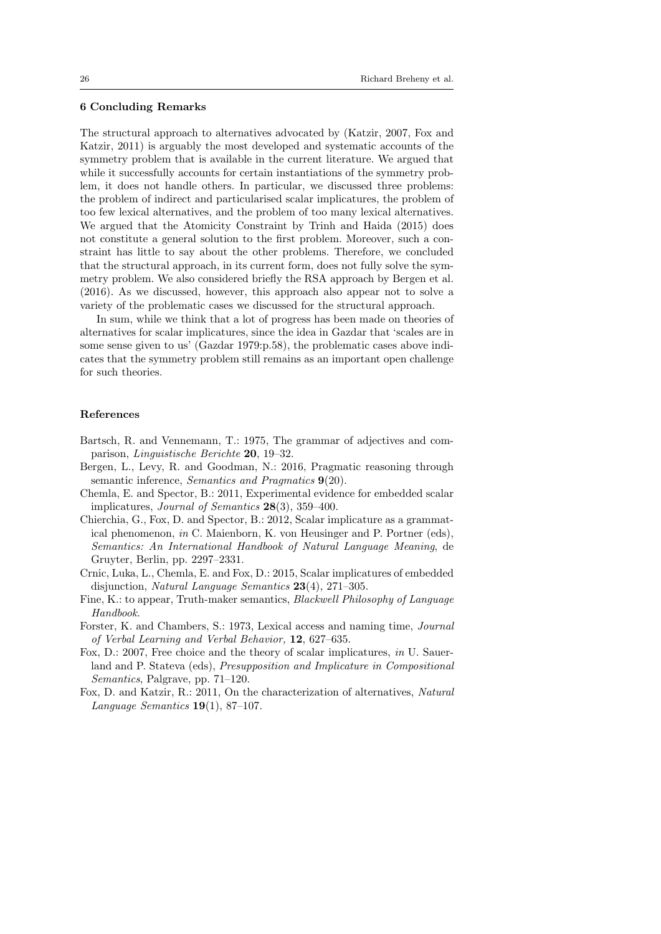## 6 Concluding Remarks

The structural approach to alternatives advocated by (Katzir, 2007, Fox and Katzir, 2011) is arguably the most developed and systematic accounts of the symmetry problem that is available in the current literature. We argued that while it successfully accounts for certain instantiations of the symmetry problem, it does not handle others. In particular, we discussed three problems: the problem of indirect and particularised scalar implicatures, the problem of too few lexical alternatives, and the problem of too many lexical alternatives. We argued that the Atomicity Constraint by Trinh and Haida (2015) does not constitute a general solution to the first problem. Moreover, such a constraint has little to say about the other problems. Therefore, we concluded that the structural approach, in its current form, does not fully solve the symmetry problem. We also considered briefly the RSA approach by Bergen et al. (2016). As we discussed, however, this approach also appear not to solve a variety of the problematic cases we discussed for the structural approach.

In sum, while we think that a lot of progress has been made on theories of alternatives for scalar implicatures, since the idea in Gazdar that 'scales are in some sense given to us' (Gazdar 1979:p.58), the problematic cases above indicates that the symmetry problem still remains as an important open challenge for such theories.

#### References

- Bartsch, R. and Vennemann, T.: 1975, The grammar of adjectives and comparison, Linguistische Berichte 20, 19–32.
- Bergen, L., Levy, R. and Goodman, N.: 2016, Pragmatic reasoning through semantic inference, Semantics and Pragmatics 9(20).
- Chemla, E. and Spector, B.: 2011, Experimental evidence for embedded scalar implicatures, Journal of Semantics 28(3), 359–400.
- Chierchia, G., Fox, D. and Spector, B.: 2012, Scalar implicature as a grammatical phenomenon, in C. Maienborn, K. von Heusinger and P. Portner (eds), Semantics: An International Handbook of Natural Language Meaning, de Gruyter, Berlin, pp. 2297–2331.
- Crnic, Luka, L., Chemla, E. and Fox, D.: 2015, Scalar implicatures of embedded disjunction, Natural Language Semantics 23(4), 271–305.
- Fine, K.: to appear, Truth-maker semantics, Blackwell Philosophy of Language Handbook.
- Forster, K. and Chambers, S.: 1973, Lexical access and naming time, Journal of Verbal Learning and Verbal Behavior, 12, 627–635.
- Fox, D.: 2007, Free choice and the theory of scalar implicatures, in U. Sauerland and P. Stateva (eds), Presupposition and Implicature in Compositional Semantics, Palgrave, pp. 71–120.
- Fox, D. and Katzir, R.: 2011, On the characterization of alternatives, Natural Language Semantics  $19(1)$ , 87-107.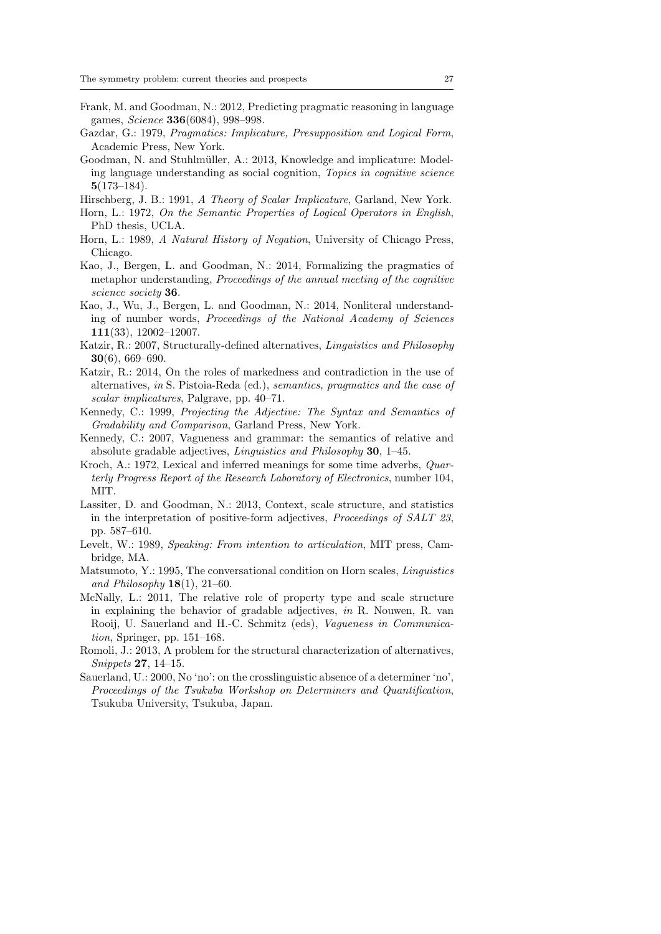- Frank, M. and Goodman, N.: 2012, Predicting pragmatic reasoning in language games, Science 336(6084), 998–998.
- Gazdar, G.: 1979, Pragmatics: Implicature, Presupposition and Logical Form, Academic Press, New York.
- Goodman, N. and Stuhlmüller, A.: 2013, Knowledge and implicature: Modeling language understanding as social cognition, Topics in cognitive science 5(173–184).

Hirschberg, J. B.: 1991, A Theory of Scalar Implicature, Garland, New York.

- Horn, L.: 1972, On the Semantic Properties of Logical Operators in English, PhD thesis, UCLA.
- Horn, L.: 1989, A Natural History of Negation, University of Chicago Press, Chicago.
- Kao, J., Bergen, L. and Goodman, N.: 2014, Formalizing the pragmatics of metaphor understanding, Proceedings of the annual meeting of the cognitive science society 36.
- Kao, J., Wu, J., Bergen, L. and Goodman, N.: 2014, Nonliteral understanding of number words, Proceedings of the National Academy of Sciences 111(33), 12002–12007.
- Katzir, R.: 2007, Structurally-defined alternatives, Linguistics and Philosophy 30(6), 669–690.
- Katzir, R.: 2014, On the roles of markedness and contradiction in the use of alternatives, in S. Pistoia-Reda (ed.), semantics, pragmatics and the case of scalar implicatures, Palgrave, pp. 40–71.
- Kennedy, C.: 1999, Projecting the Adjective: The Syntax and Semantics of Gradability and Comparison, Garland Press, New York.
- Kennedy, C.: 2007, Vagueness and grammar: the semantics of relative and absolute gradable adjectives, Linguistics and Philosophy 30, 1–45.
- Kroch, A.: 1972, Lexical and inferred meanings for some time adverbs, Quarterly Progress Report of the Research Laboratory of Electronics, number 104, MIT.
- Lassiter, D. and Goodman, N.: 2013, Context, scale structure, and statistics in the interpretation of positive-form adjectives, Proceedings of SALT 23, pp. 587–610.
- Levelt, W.: 1989, Speaking: From intention to articulation, MIT press, Cambridge, MA.
- Matsumoto, Y.: 1995, The conversational condition on Horn scales, Linguistics and Philosophy  $18(1)$ ,  $21-60$ .
- McNally, L.: 2011, The relative role of property type and scale structure in explaining the behavior of gradable adjectives, in R. Nouwen, R. van Rooij, U. Sauerland and H.-C. Schmitz (eds), Vagueness in Communication, Springer, pp. 151–168.
- Romoli, J.: 2013, A problem for the structural characterization of alternatives, Snippets 27, 14–15.
- Sauerland, U.: 2000, No 'no': on the crosslinguistic absence of a determiner 'no', Proceedings of the Tsukuba Workshop on Determiners and Quantification, Tsukuba University, Tsukuba, Japan.